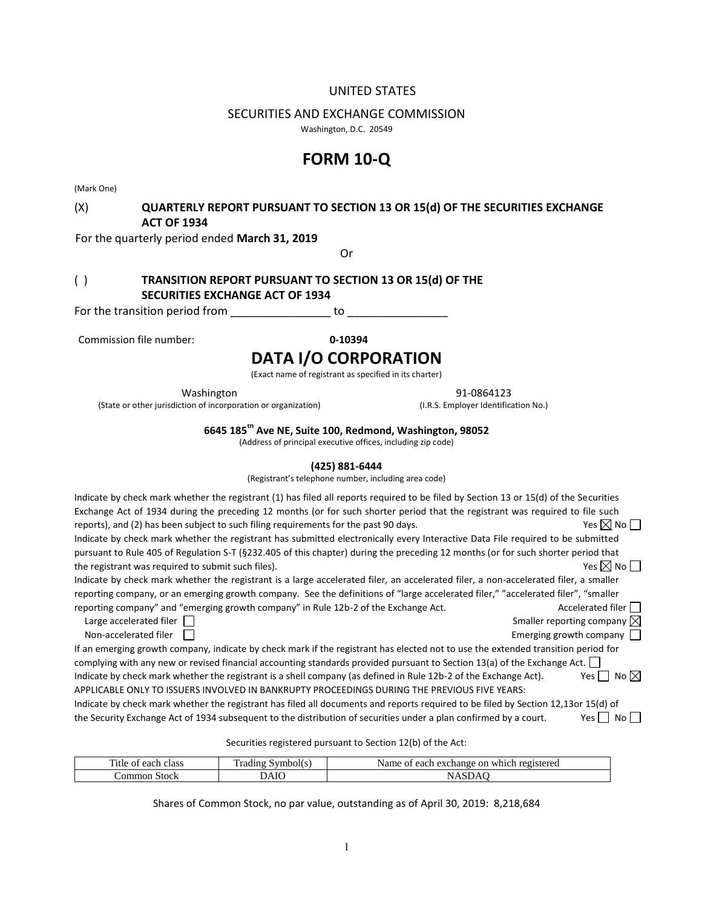# UNITED STATES

# SECURITIES AND EXCHANGE COMMISSION

Washington, D.C. 20549

# **FORM 10-Q**

(Mark One)

# (X) **QUARTERLY REPORT PURSUANT TO SECTION 13 OR 15(d) OF THE SECURITIES EXCHANGE ACT OF 1934**

For the quarterly period ended **March 31, 2019**

Or

# ( ) **TRANSITION REPORT PURSUANT TO SECTION 13 OR 15(d) OF THE SECURITIES EXCHANGE ACT OF 1934**

For the transition period from example to to to the transition period from  $\sim$ 

Commission file number: **0-10394**

# **DATA I/O CORPORATION**

(Exact name of registrant as specified in its charter)

Washington 91-0864123

(State or other jurisdiction of incorporation or organization) (I.R.S. Employer Identification No.)

**6645 185th Ave NE, Suite 100, Redmond, Washington, 98052**

(Address of principal executive offices, including zip code)

## **(425) 881-6444**

(Registrant's telephone number, including area code)

| Indicate by check mark whether the registrant (1) has filed all reports required to be filed by Section 13 or 15(d) of the Securities<br>Exchange Act of 1934 during the preceding 12 months (or for such shorter period that the registrant was required to file such<br>reports), and (2) has been subject to such filing requirements for the past 90 days. | Yes $\boxtimes$ No $\Box$               |
|----------------------------------------------------------------------------------------------------------------------------------------------------------------------------------------------------------------------------------------------------------------------------------------------------------------------------------------------------------------|-----------------------------------------|
| Indicate by check mark whether the registrant has submitted electronically every Interactive Data File required to be submitted                                                                                                                                                                                                                                |                                         |
| pursuant to Rule 405 of Regulation S-T (§232.405 of this chapter) during the preceding 12 months (or for such shorter period that                                                                                                                                                                                                                              |                                         |
| the registrant was required to submit such files).                                                                                                                                                                                                                                                                                                             | Yes $\boxtimes$ No $\Box$               |
| Indicate by check mark whether the registrant is a large accelerated filer, an accelerated filer, a non-accelerated filer, a smaller                                                                                                                                                                                                                           |                                         |
| reporting company, or an emerging growth company. See the definitions of "large accelerated filer," "accelerated filer", "smaller                                                                                                                                                                                                                              |                                         |
| reporting company" and "emerging growth company" in Rule 12b-2 of the Exchange Act.                                                                                                                                                                                                                                                                            | Accelerated filer                       |
| Large accelerated filer                                                                                                                                                                                                                                                                                                                                        | Smaller reporting company $\boxtimes$   |
| Non-accelerated filer                                                                                                                                                                                                                                                                                                                                          | Emerging growth company $\vert \ \vert$ |
| If an emerging growth company, indicate by check mark if the registrant has elected not to use the extended transition period for                                                                                                                                                                                                                              |                                         |
| complying with any new or revised financial accounting standards provided pursuant to Section 13(a) of the Exchange Act. $\vert \vert$                                                                                                                                                                                                                         |                                         |
| Indicate by check mark whether the registrant is a shell company (as defined in Rule 12b-2 of the Exchange Act).                                                                                                                                                                                                                                               | No $\boxtimes$<br>Yes II                |
| APPLICABLE ONLY TO ISSUERS INVOLVED IN BANKRUPTY PROCEEDINGS DURING THE PREVIOUS FIVE YEARS:                                                                                                                                                                                                                                                                   |                                         |
| Indicate by check mark whether the registrant has filed all documents and reports required to be filed by Section 12,13or 15(d) of                                                                                                                                                                                                                             |                                         |
| the Security Exchange Act of 1934 subsequent to the distribution of securities under a plan confirmed by a court.                                                                                                                                                                                                                                              |                                         |

Securities registered pursuant to Section 12(b) of the Act:

| $\overline{\phantom{a}}$<br>eact<br>class<br>нне | m<br>$  -$<br>ан<br>. . | Name<br>o۳<br>wh <sub>10</sub><br>registerer<br>ea∈<br>uange .<br>սա |
|--------------------------------------------------|-------------------------|----------------------------------------------------------------------|
| `omr<br>tool<br>٦ť                               | $\mathbf{r}$<br>91 V    |                                                                      |

Shares of Common Stock, no par value, outstanding as of April 30, 2019: 8,218,684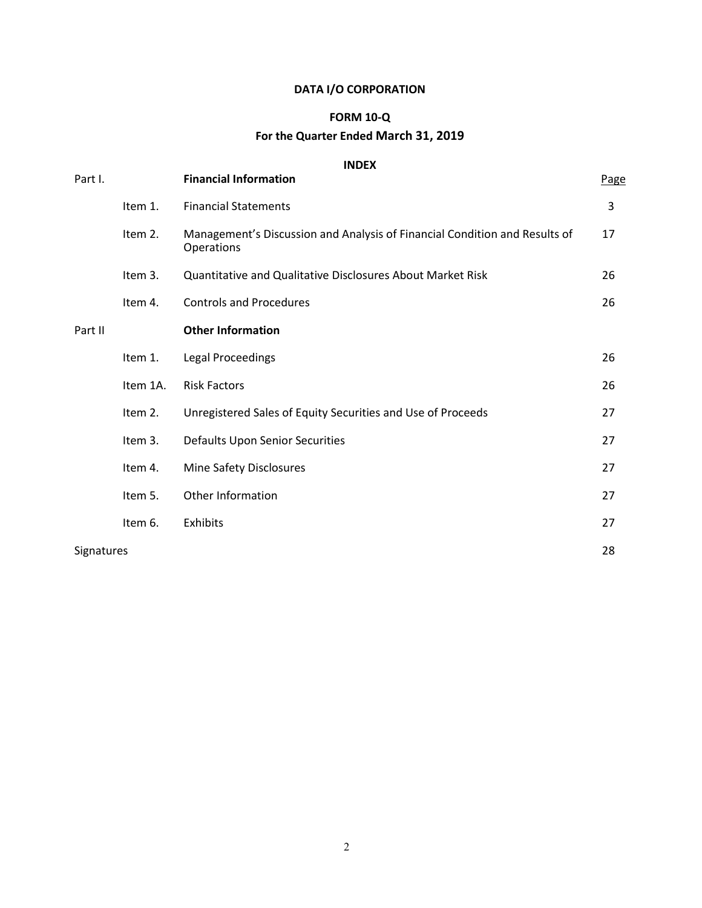# **DATA I/O CORPORATION**

# **FORM 10-Q For the Quarter Ended March 31, 2019**

# **INDEX**

| Part I.           |          | <b>Financial Information</b>                                                             | Page |
|-------------------|----------|------------------------------------------------------------------------------------------|------|
|                   | Item 1.  | <b>Financial Statements</b>                                                              | 3    |
|                   | Item 2.  | Management's Discussion and Analysis of Financial Condition and Results of<br>Operations | 17   |
|                   | Item 3.  | <b>Quantitative and Qualitative Disclosures About Market Risk</b>                        | 26   |
|                   | Item 4.  | <b>Controls and Procedures</b>                                                           | 26   |
| Part II           |          | <b>Other Information</b>                                                                 |      |
|                   | Item 1.  | <b>Legal Proceedings</b>                                                                 | 26   |
|                   | Item 1A. | <b>Risk Factors</b>                                                                      | 26   |
|                   | Item 2.  | Unregistered Sales of Equity Securities and Use of Proceeds                              | 27   |
|                   | Item 3.  | Defaults Upon Senior Securities                                                          | 27   |
|                   | Item 4.  | Mine Safety Disclosures                                                                  | 27   |
|                   | Item 5.  | Other Information                                                                        | 27   |
|                   | Item 6.  | Exhibits                                                                                 | 27   |
| <b>Signatures</b> |          |                                                                                          | 28   |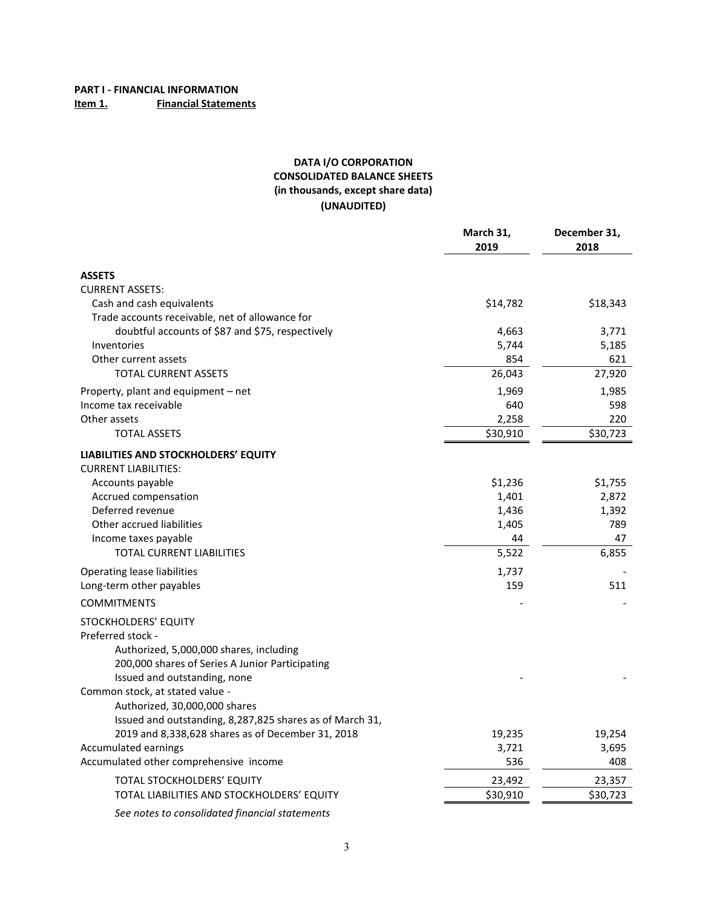# **DATA I/O CORPORATION CONSOLIDATED BALANCE SHEETS (in thousands, except share data) (UNAUDITED)**

|                                                          | March 31,<br>2019 | December 31,<br>2018 |
|----------------------------------------------------------|-------------------|----------------------|
| <b>ASSETS</b>                                            |                   |                      |
| <b>CURRENT ASSETS:</b>                                   |                   |                      |
| Cash and cash equivalents                                | \$14,782          | \$18,343             |
| Trade accounts receivable, net of allowance for          |                   |                      |
| doubtful accounts of \$87 and \$75, respectively         | 4,663             | 3,771                |
| Inventories                                              | 5,744             | 5,185                |
| Other current assets                                     | 854               | 621                  |
| <b>TOTAL CURRENT ASSETS</b>                              | 26,043            | 27,920               |
| Property, plant and equipment – net                      | 1,969             | 1,985                |
| Income tax receivable                                    | 640               | 598                  |
| Other assets                                             | 2,258             | 220                  |
| <b>TOTAL ASSETS</b>                                      | \$30,910          | \$30,723             |
| LIABILITIES AND STOCKHOLDERS' EQUITY                     |                   |                      |
| <b>CURRENT LIABILITIES:</b>                              |                   |                      |
| Accounts payable                                         | \$1,236           | \$1,755              |
| Accrued compensation                                     | 1,401             | 2,872                |
| Deferred revenue                                         | 1,436             | 1,392                |
| Other accrued liabilities                                | 1,405             | 789                  |
| Income taxes payable                                     | 44                | 47                   |
| <b>TOTAL CURRENT LIABILITIES</b>                         | 5,522             | 6,855                |
| Operating lease liabilities                              | 1,737             |                      |
| Long-term other payables                                 | 159               | 511                  |
| <b>COMMITMENTS</b>                                       |                   |                      |
| STOCKHOLDERS' EQUITY                                     |                   |                      |
| Preferred stock -                                        |                   |                      |
| Authorized, 5,000,000 shares, including                  |                   |                      |
| 200,000 shares of Series A Junior Participating          |                   |                      |
| Issued and outstanding, none                             |                   |                      |
| Common stock, at stated value -                          |                   |                      |
| Authorized, 30,000,000 shares                            |                   |                      |
| Issued and outstanding, 8,287,825 shares as of March 31, |                   |                      |
| 2019 and 8,338,628 shares as of December 31, 2018        | 19,235            | 19,254               |
| Accumulated earnings                                     | 3,721             | 3,695                |
| Accumulated other comprehensive income                   | 536               | 408                  |
| TOTAL STOCKHOLDERS' EQUITY                               | 23,492            | 23,357               |
| TOTAL LIABILITIES AND STOCKHOLDERS' EQUITY               | \$30,910          | \$30,723             |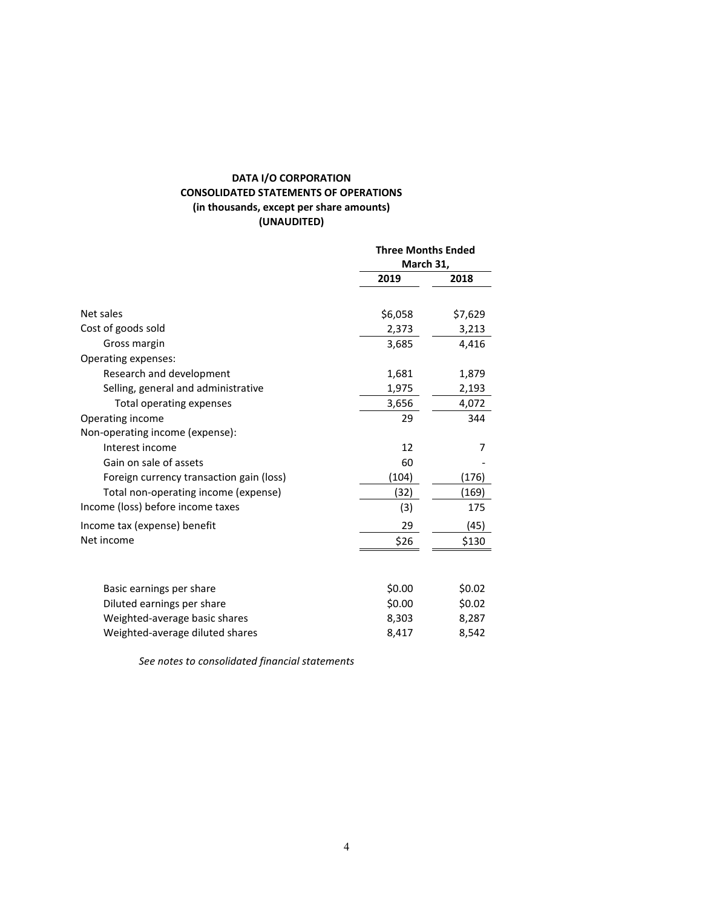# **DATA I/O CORPORATION CONSOLIDATED STATEMENTS OF OPERATIONS (in thousands, except per share amounts) (UNAUDITED)**

|                                          | <b>Three Months Ended</b><br>March 31, |         |
|------------------------------------------|----------------------------------------|---------|
|                                          | 2019                                   | 2018    |
|                                          |                                        |         |
| Net sales                                | \$6,058                                | \$7,629 |
| Cost of goods sold                       | 2,373                                  | 3,213   |
| Gross margin                             | 3,685                                  | 4,416   |
| Operating expenses:                      |                                        |         |
| Research and development                 | 1,681                                  | 1,879   |
| Selling, general and administrative      | 1,975                                  | 2,193   |
| <b>Total operating expenses</b>          | 3,656                                  | 4,072   |
| Operating income                         | 29                                     | 344     |
| Non-operating income (expense):          |                                        |         |
| Interest income                          | 12                                     | 7       |
| Gain on sale of assets                   | 60                                     |         |
| Foreign currency transaction gain (loss) | (104)                                  | (176)   |
| Total non-operating income (expense)     | (32)                                   | (169)   |
| Income (loss) before income taxes        | (3)                                    | 175     |
| Income tax (expense) benefit             | 29                                     | (45)    |
| Net income                               | \$26                                   | \$130   |
|                                          |                                        |         |
| Basic earnings per share                 | \$0.00                                 | \$0.02  |
| Diluted earnings per share               | \$0.00                                 | \$0.02  |
| Weighted-average basic shares            | 8,303                                  | 8,287   |
| Weighted-average diluted shares          | 8,417                                  | 8,542   |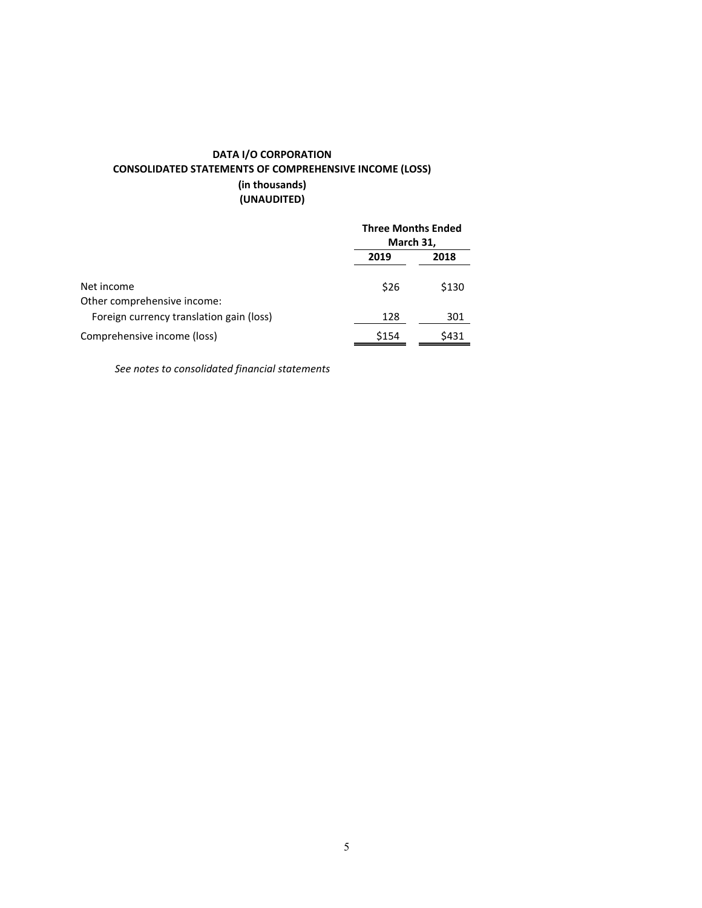# **DATA I/O CORPORATION CONSOLIDATED STATEMENTS OF COMPREHENSIVE INCOME (LOSS) (in thousands) (UNAUDITED)**

|                                           |       | <b>Three Months Ended</b><br>March 31, |  |
|-------------------------------------------|-------|----------------------------------------|--|
|                                           | 2019  | 2018                                   |  |
| Net income<br>Other comprehensive income: | \$26  | \$130                                  |  |
| Foreign currency translation gain (loss)  | 128   | 301                                    |  |
| Comprehensive income (loss)               | \$154 | \$431                                  |  |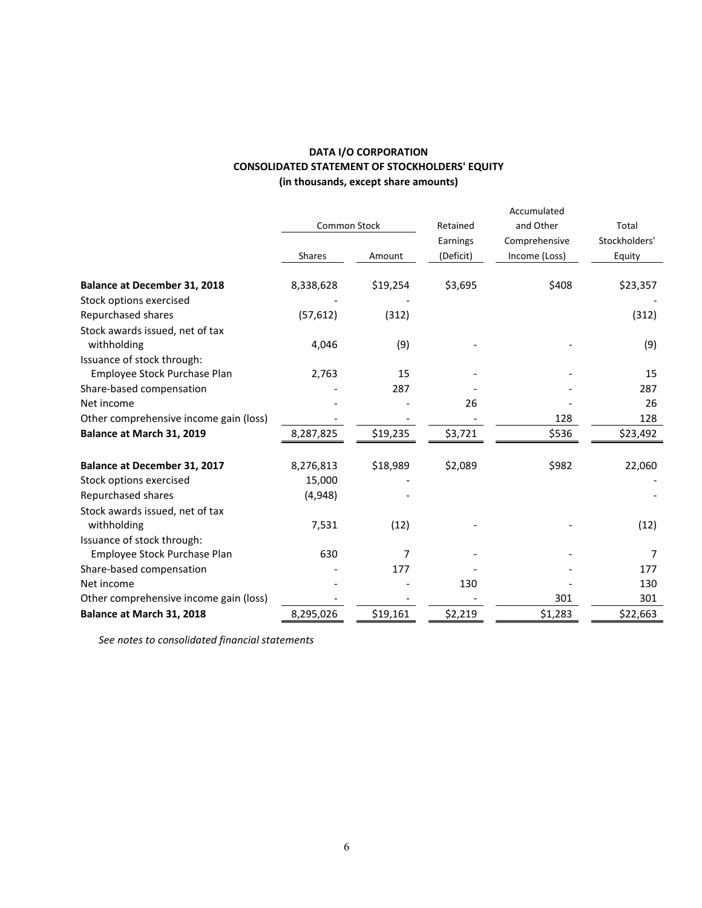| <b>DATA I/O CORPORATION</b>                           |
|-------------------------------------------------------|
| <b>CONSOLIDATED STATEMENT OF STOCKHOLDERS' EQUITY</b> |
| (in thousands, except share amounts)                  |

|                                        |                     |          |           | Accumulated   |               |
|----------------------------------------|---------------------|----------|-----------|---------------|---------------|
|                                        | <b>Common Stock</b> |          | Retained  | and Other     | Total         |
|                                        |                     |          | Earnings  | Comprehensive | Stockholders' |
|                                        | Shares              | Amount   | (Deficit) | Income (Loss) | Equity        |
| <b>Balance at December 31, 2018</b>    | 8,338,628           | \$19,254 | \$3,695   | \$408         | \$23,357      |
| Stock options exercised                |                     |          |           |               |               |
| Repurchased shares                     | (57, 612)           | (312)    |           |               | (312)         |
| Stock awards issued, net of tax        |                     |          |           |               |               |
| withholding                            | 4,046               | (9)      |           |               | (9)           |
| Issuance of stock through:             |                     |          |           |               |               |
| Employee Stock Purchase Plan           | 2,763               | 15       |           |               | 15            |
| Share-based compensation               |                     | 287      |           |               | 287           |
| Net income                             |                     |          | 26        |               | 26            |
| Other comprehensive income gain (loss) |                     |          |           | 128           | 128           |
| Balance at March 31, 2019              | 8,287,825           | \$19,235 | \$3,721   | \$536         | \$23,492      |
| <b>Balance at December 31, 2017</b>    | 8,276,813           | \$18,989 | \$2,089   | \$982         | 22,060        |
| Stock options exercised                | 15,000              |          |           |               |               |
| Repurchased shares                     | (4,948)             |          |           |               |               |
| Stock awards issued, net of tax        |                     |          |           |               |               |
| withholding                            | 7,531               | (12)     |           |               | (12)          |
| Issuance of stock through:             |                     |          |           |               |               |
| Employee Stock Purchase Plan           | 630                 | 7        |           |               | 7             |
| Share-based compensation               |                     | 177      |           |               | 177           |
| Net income                             |                     |          | 130       |               | 130           |
| Other comprehensive income gain (loss) |                     |          |           | 301           | 301           |
| Balance at March 31, 2018              | 8,295,026           | \$19,161 | \$2,219   | \$1,283       | \$22,663      |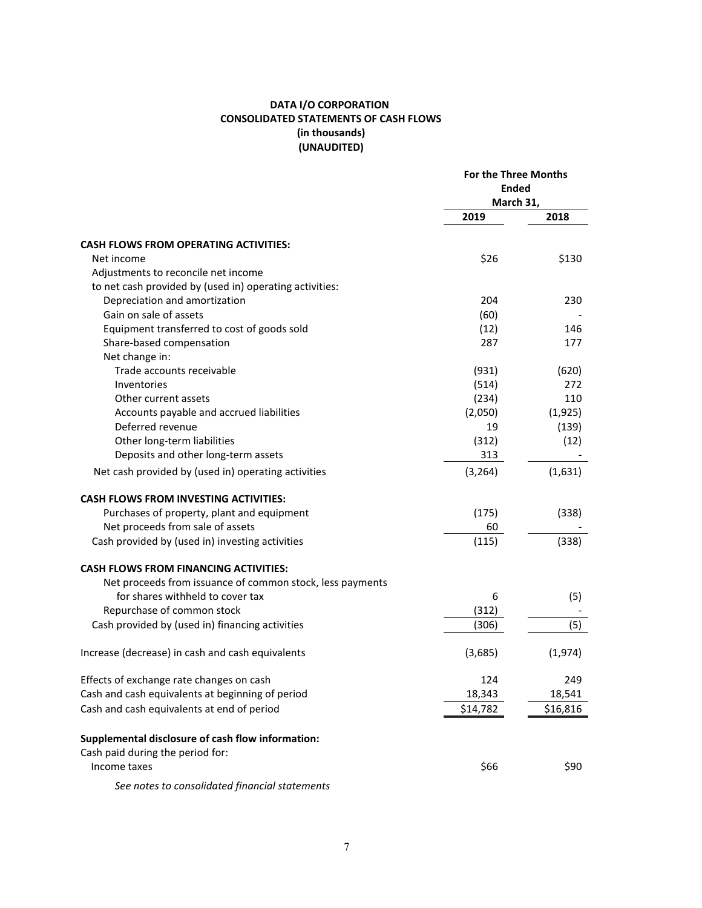# **DATA I/O CORPORATION CONSOLIDATED STATEMENTS OF CASH FLOWS (in thousands) (UNAUDITED)**

|                                                           | <b>For the Three Months</b><br><b>Ended</b><br>March 31, |          |
|-----------------------------------------------------------|----------------------------------------------------------|----------|
|                                                           | 2019                                                     | 2018     |
| <b>CASH FLOWS FROM OPERATING ACTIVITIES:</b>              |                                                          |          |
| Net income                                                | \$26                                                     | \$130    |
| Adjustments to reconcile net income                       |                                                          |          |
| to net cash provided by (used in) operating activities:   |                                                          |          |
| Depreciation and amortization                             | 204                                                      | 230      |
| Gain on sale of assets                                    | (60)                                                     |          |
| Equipment transferred to cost of goods sold               | (12)                                                     | 146      |
| Share-based compensation                                  | 287                                                      | 177      |
| Net change in:                                            |                                                          |          |
| Trade accounts receivable                                 | (931)                                                    | (620)    |
| Inventories                                               | (514)                                                    | 272      |
| Other current assets                                      | (234)                                                    | 110      |
| Accounts payable and accrued liabilities                  | (2,050)                                                  | (1, 925) |
| Deferred revenue                                          | 19                                                       | (139)    |
| Other long-term liabilities                               | (312)                                                    | (12)     |
| Deposits and other long-term assets                       | 313                                                      |          |
|                                                           |                                                          |          |
| Net cash provided by (used in) operating activities       | (3, 264)                                                 | (1,631)  |
| <b>CASH FLOWS FROM INVESTING ACTIVITIES:</b>              |                                                          |          |
| Purchases of property, plant and equipment                | (175)                                                    | (338)    |
| Net proceeds from sale of assets                          | 60                                                       |          |
| Cash provided by (used in) investing activities           | (115)                                                    | (338)    |
| <b>CASH FLOWS FROM FINANCING ACTIVITIES:</b>              |                                                          |          |
| Net proceeds from issuance of common stock, less payments |                                                          |          |
| for shares withheld to cover tax                          | 6                                                        | (5)      |
| Repurchase of common stock                                | (312)                                                    |          |
| Cash provided by (used in) financing activities           | (306)                                                    | (5)      |
| Increase (decrease) in cash and cash equivalents          | (3,685)                                                  | (1,974)  |
| Effects of exchange rate changes on cash                  | 124                                                      | 249      |
| Cash and cash equivalents at beginning of period          | 18,343                                                   | 18,541   |
| Cash and cash equivalents at end of period                | \$14,782                                                 | \$16,816 |
| Supplemental disclosure of cash flow information:         |                                                          |          |
| Cash paid during the period for:                          |                                                          |          |
| Income taxes                                              | \$66                                                     | \$90     |
| See notes to consolidated financial statements            |                                                          |          |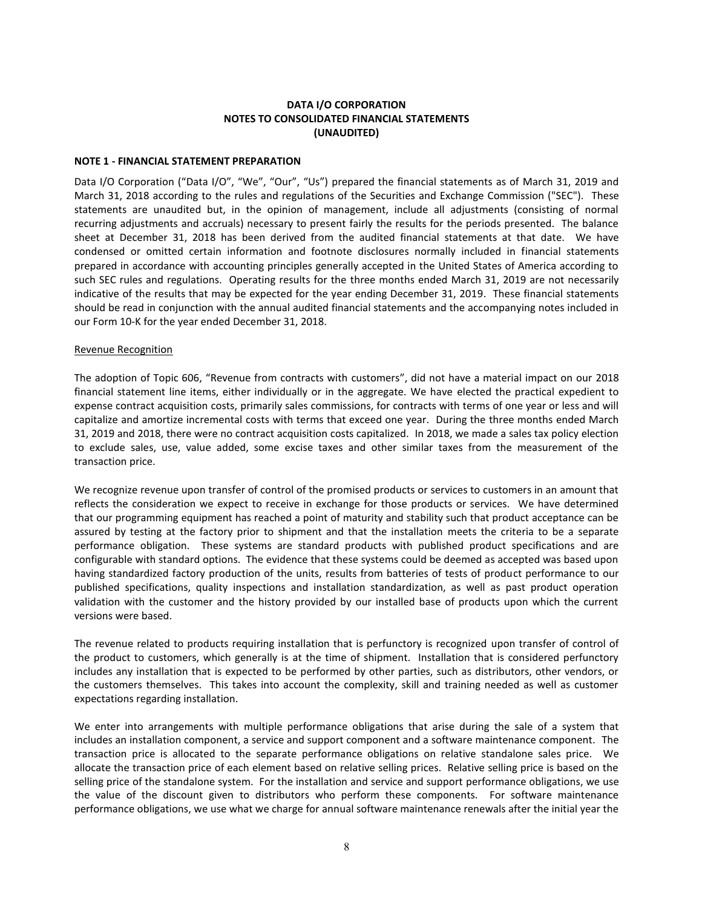# **DATA I/O CORPORATION NOTES TO CONSOLIDATED FINANCIAL STATEMENTS (UNAUDITED)**

#### **NOTE 1 - FINANCIAL STATEMENT PREPARATION**

Data I/O Corporation ("Data I/O", "We", "Our", "Us") prepared the financial statements as of March 31, 2019 and March 31, 2018 according to the rules and regulations of the Securities and Exchange Commission ("SEC"). These statements are unaudited but, in the opinion of management, include all adjustments (consisting of normal recurring adjustments and accruals) necessary to present fairly the results for the periods presented. The balance sheet at December 31, 2018 has been derived from the audited financial statements at that date. We have condensed or omitted certain information and footnote disclosures normally included in financial statements prepared in accordance with accounting principles generally accepted in the United States of America according to such SEC rules and regulations. Operating results for the three months ended March 31, 2019 are not necessarily indicative of the results that may be expected for the year ending December 31, 2019. These financial statements should be read in conjunction with the annual audited financial statements and the accompanying notes included in our Form 10-K for the year ended December 31, 2018.

#### Revenue Recognition

The adoption of Topic 606, "Revenue from contracts with customers", did not have a material impact on our 2018 financial statement line items, either individually or in the aggregate. We have elected the practical expedient to expense contract acquisition costs, primarily sales commissions, for contracts with terms of one year or less and will capitalize and amortize incremental costs with terms that exceed one year. During the three months ended March 31, 2019 and 2018, there were no contract acquisition costs capitalized. In 2018, we made a sales tax policy election to exclude sales, use, value added, some excise taxes and other similar taxes from the measurement of the transaction price.

We recognize revenue upon transfer of control of the promised products or services to customers in an amount that reflects the consideration we expect to receive in exchange for those products or services. We have determined that our programming equipment has reached a point of maturity and stability such that product acceptance can be assured by testing at the factory prior to shipment and that the installation meets the criteria to be a separate performance obligation. These systems are standard products with published product specifications and are configurable with standard options. The evidence that these systems could be deemed as accepted was based upon having standardized factory production of the units, results from batteries of tests of product performance to our published specifications, quality inspections and installation standardization, as well as past product operation validation with the customer and the history provided by our installed base of products upon which the current versions were based.

The revenue related to products requiring installation that is perfunctory is recognized upon transfer of control of the product to customers, which generally is at the time of shipment. Installation that is considered perfunctory includes any installation that is expected to be performed by other parties, such as distributors, other vendors, or the customers themselves. This takes into account the complexity, skill and training needed as well as customer expectations regarding installation.

We enter into arrangements with multiple performance obligations that arise during the sale of a system that includes an installation component, a service and support component and a software maintenance component. The transaction price is allocated to the separate performance obligations on relative standalone sales price. We allocate the transaction price of each element based on relative selling prices. Relative selling price is based on the selling price of the standalone system. For the installation and service and support performance obligations, we use the value of the discount given to distributors who perform these components. For software maintenance performance obligations, we use what we charge for annual software maintenance renewals after the initial year the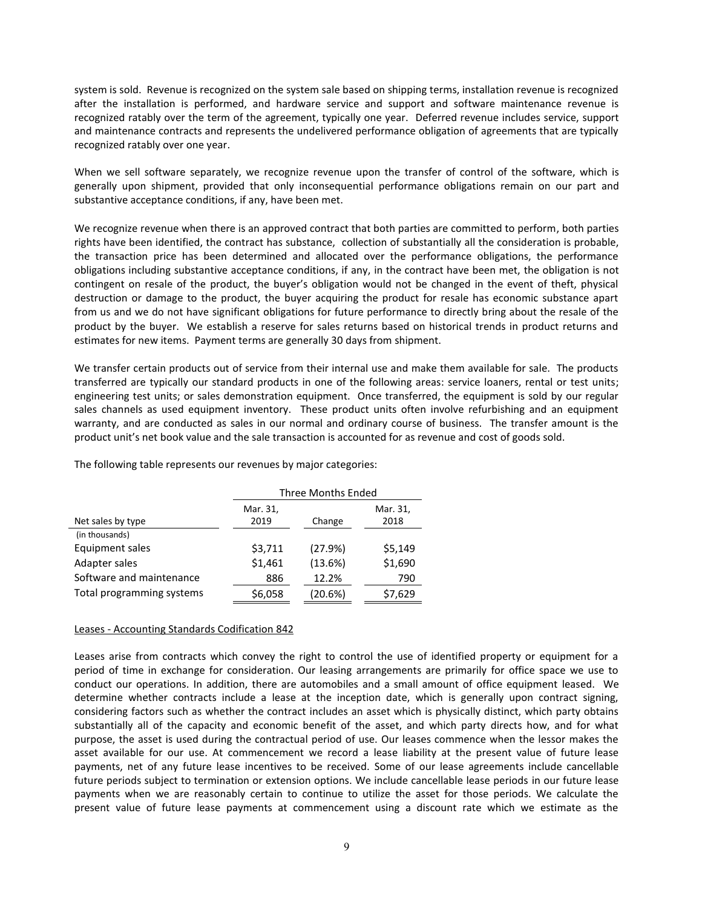system is sold. Revenue is recognized on the system sale based on shipping terms, installation revenue is recognized after the installation is performed, and hardware service and support and software maintenance revenue is recognized ratably over the term of the agreement, typically one year. Deferred revenue includes service, support and maintenance contracts and represents the undelivered performance obligation of agreements that are typically recognized ratably over one year.

When we sell software separately, we recognize revenue upon the transfer of control of the software, which is generally upon shipment, provided that only inconsequential performance obligations remain on our part and substantive acceptance conditions, if any, have been met.

We recognize revenue when there is an approved contract that both parties are committed to perform, both parties rights have been identified, the contract has substance, collection of substantially all the consideration is probable, the transaction price has been determined and allocated over the performance obligations, the performance obligations including substantive acceptance conditions, if any, in the contract have been met, the obligation is not contingent on resale of the product, the buyer's obligation would not be changed in the event of theft, physical destruction or damage to the product, the buyer acquiring the product for resale has economic substance apart from us and we do not have significant obligations for future performance to directly bring about the resale of the product by the buyer. We establish a reserve for sales returns based on historical trends in product returns and estimates for new items. Payment terms are generally 30 days from shipment.

We transfer certain products out of service from their internal use and make them available for sale. The products transferred are typically our standard products in one of the following areas: service loaners, rental or test units; engineering test units; or sales demonstration equipment. Once transferred, the equipment is sold by our regular sales channels as used equipment inventory. These product units often involve refurbishing and an equipment warranty, and are conducted as sales in our normal and ordinary course of business. The transfer amount is the product unit's net book value and the sale transaction is accounted for as revenue and cost of goods sold.

|                           | Three Months Ended |         |          |
|---------------------------|--------------------|---------|----------|
|                           | Mar. 31,           |         | Mar. 31, |
| Net sales by type         | 2019               | Change  | 2018     |
| (in thousands)            |                    |         |          |
| Equipment sales           | \$3,711            | (27.9%) | \$5,149  |
| Adapter sales             | \$1,461            | (13.6%) | \$1,690  |
| Software and maintenance  | 886                | 12.2%   | 790      |
| Total programming systems | \$6,058            | (20.6%) | \$7,629  |

The following table represents our revenues by major categories:

#### Leases - Accounting Standards Codification 842

Leases arise from contracts which convey the right to control the use of identified property or equipment for a period of time in exchange for consideration. Our leasing arrangements are primarily for office space we use to conduct our operations. In addition, there are automobiles and a small amount of office equipment leased. We determine whether contracts include a lease at the inception date, which is generally upon contract signing, considering factors such as whether the contract includes an asset which is physically distinct, which party obtains substantially all of the capacity and economic benefit of the asset, and which party directs how, and for what purpose, the asset is used during the contractual period of use. Our leases commence when the lessor makes the asset available for our use. At commencement we record a lease liability at the present value of future lease payments, net of any future lease incentives to be received. Some of our lease agreements include cancellable future periods subject to termination or extension options. We include cancellable lease periods in our future lease payments when we are reasonably certain to continue to utilize the asset for those periods. We calculate the present value of future lease payments at commencement using a discount rate which we estimate as the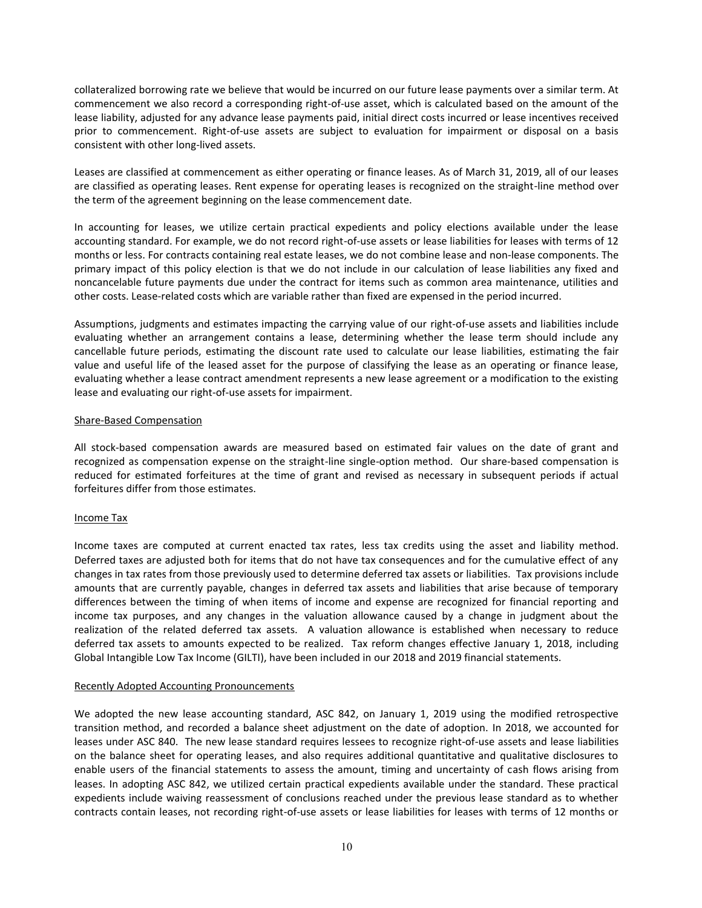collateralized borrowing rate we believe that would be incurred on our future lease payments over a similar term. At commencement we also record a corresponding right-of-use asset, which is calculated based on the amount of the lease liability, adjusted for any advance lease payments paid, initial direct costs incurred or lease incentives received prior to commencement. Right-of-use assets are subject to evaluation for impairment or disposal on a basis consistent with other long-lived assets.

Leases are classified at commencement as either operating or finance leases. As of March 31, 2019, all of our leases are classified as operating leases. Rent expense for operating leases is recognized on the straight-line method over the term of the agreement beginning on the lease commencement date.

In accounting for leases, we utilize certain practical expedients and policy elections available under the lease accounting standard. For example, we do not record right-of-use assets or lease liabilities for leases with terms of 12 months or less. For contracts containing real estate leases, we do not combine lease and non-lease components. The primary impact of this policy election is that we do not include in our calculation of lease liabilities any fixed and noncancelable future payments due under the contract for items such as common area maintenance, utilities and other costs. Lease-related costs which are variable rather than fixed are expensed in the period incurred.

Assumptions, judgments and estimates impacting the carrying value of our right-of-use assets and liabilities include evaluating whether an arrangement contains a lease, determining whether the lease term should include any cancellable future periods, estimating the discount rate used to calculate our lease liabilities, estimating the fair value and useful life of the leased asset for the purpose of classifying the lease as an operating or finance lease, evaluating whether a lease contract amendment represents a new lease agreement or a modification to the existing lease and evaluating our right-of-use assets for impairment.

#### Share-Based Compensation

All stock-based compensation awards are measured based on estimated fair values on the date of grant and recognized as compensation expense on the straight-line single-option method. Our share-based compensation is reduced for estimated forfeitures at the time of grant and revised as necessary in subsequent periods if actual forfeitures differ from those estimates.

# Income Tax

Income taxes are computed at current enacted tax rates, less tax credits using the asset and liability method. Deferred taxes are adjusted both for items that do not have tax consequences and for the cumulative effect of any changes in tax rates from those previously used to determine deferred tax assets or liabilities. Tax provisions include amounts that are currently payable, changes in deferred tax assets and liabilities that arise because of temporary differences between the timing of when items of income and expense are recognized for financial reporting and income tax purposes, and any changes in the valuation allowance caused by a change in judgment about the realization of the related deferred tax assets. A valuation allowance is established when necessary to reduce deferred tax assets to amounts expected to be realized. Tax reform changes effective January 1, 2018, including Global Intangible Low Tax Income (GILTI), have been included in our 2018 and 2019 financial statements.

#### Recently Adopted Accounting Pronouncements

We adopted the new lease accounting standard, ASC 842, on January 1, 2019 using the modified retrospective transition method, and recorded a balance sheet adjustment on the date of adoption. In 2018, we accounted for leases under ASC 840. The new lease standard requires lessees to recognize right-of-use assets and lease liabilities on the balance sheet for operating leases, and also requires additional quantitative and qualitative disclosures to enable users of the financial statements to assess the amount, timing and uncertainty of cash flows arising from leases. In adopting ASC 842, we utilized certain practical expedients available under the standard. These practical expedients include waiving reassessment of conclusions reached under the previous lease standard as to whether contracts contain leases, not recording right-of-use assets or lease liabilities for leases with terms of 12 months or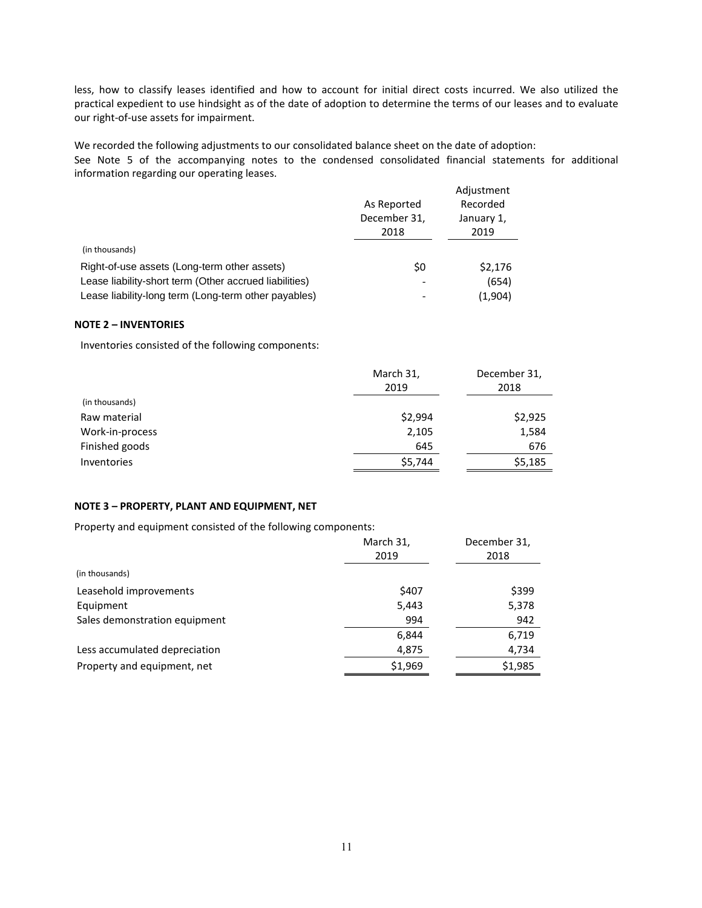less, how to classify leases identified and how to account for initial direct costs incurred. We also utilized the practical expedient to use hindsight as of the date of adoption to determine the terms of our leases and to evaluate our right-of-use assets for impairment.

We recorded the following adjustments to our consolidated balance sheet on the date of adoption: See Note 5 of the accompanying notes to the condensed consolidated financial statements for additional information regarding our operating leases.

|                                                        |              | Adjustment |
|--------------------------------------------------------|--------------|------------|
|                                                        | As Reported  | Recorded   |
|                                                        | December 31, | January 1, |
|                                                        | 2018         | 2019       |
| (in thousands)                                         |              |            |
| Right-of-use assets (Long-term other assets)           | \$0          | \$2.176    |
| Lease liability-short term (Other accrued liabilities) | -            | (654)      |
| Lease liability-long term (Long-term other payables)   | -            | (1,904)    |

### **NOTE 2 – INVENTORIES**

Inventories consisted of the following components:

|                 | March 31,<br>2019 | December 31,<br>2018 |
|-----------------|-------------------|----------------------|
| (in thousands)  |                   |                      |
| Raw material    | \$2,994           | \$2,925              |
| Work-in-process | 2,105             | 1,584                |
| Finished goods  | 645               | 676                  |
| Inventories     | \$5,744           | \$5,185              |

## **NOTE 3 – PROPERTY, PLANT AND EQUIPMENT, NET**

Property and equipment consisted of the following components:

|                               | March 31, | December 31, |
|-------------------------------|-----------|--------------|
|                               | 2019      | 2018         |
| (in thousands)                |           |              |
| Leasehold improvements        | \$407     | \$399        |
| Equipment                     | 5,443     | 5,378        |
| Sales demonstration equipment | 994       | 942          |
|                               | 6,844     | 6,719        |
| Less accumulated depreciation | 4,875     | 4,734        |
| Property and equipment, net   | \$1,969   | \$1,985      |
|                               |           |              |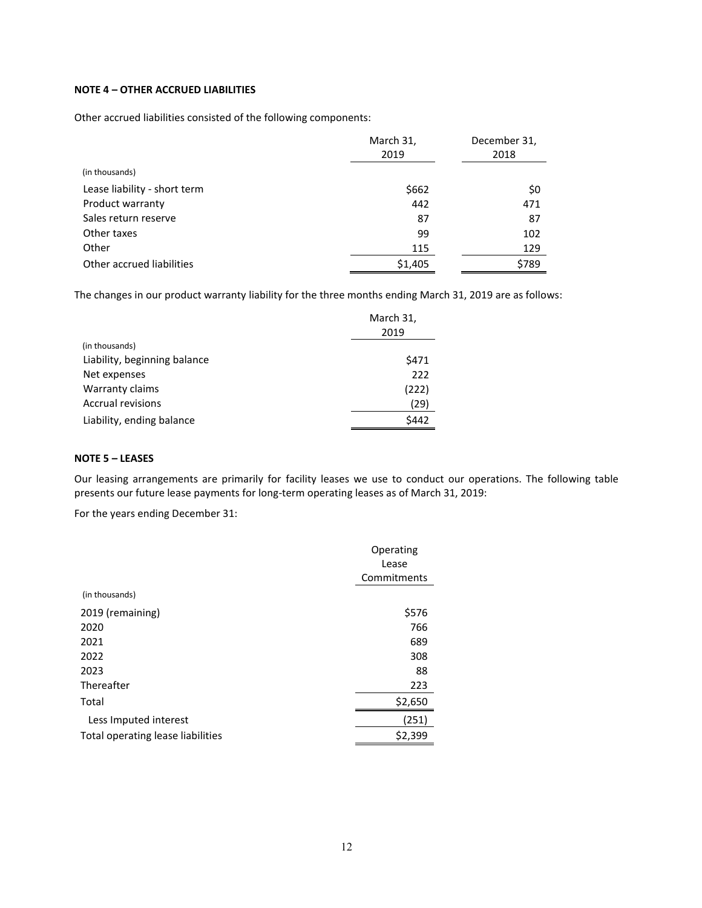# **NOTE 4 – OTHER ACCRUED LIABILITIES**

Other accrued liabilities consisted of the following components:

|                              | March 31,<br>2019 | December 31,<br>2018 |
|------------------------------|-------------------|----------------------|
| (in thousands)               |                   |                      |
| Lease liability - short term | \$662             | \$0                  |
| Product warranty             | 442               | 471                  |
| Sales return reserve         | 87                | 87                   |
| Other taxes                  | 99                | 102                  |
| Other                        | 115               | 129                  |
| Other accrued liabilities    | \$1,405           | \$789                |

The changes in our product warranty liability for the three months ending March 31, 2019 are as follows:

|                              | March 31, |
|------------------------------|-----------|
| (in thousands)               | 2019      |
| Liability, beginning balance | \$471     |
| Net expenses                 | 222       |
| Warranty claims              | (222)     |
| <b>Accrual revisions</b>     | (29)      |
| Liability, ending balance    | \$442     |

# **NOTE 5 – LEASES**

Our leasing arrangements are primarily for facility leases we use to conduct our operations. The following table presents our future lease payments for long-term operating leases as of March 31, 2019:

For the years ending December 31:

|                                   | Operating   |
|-----------------------------------|-------------|
|                                   | Lease       |
|                                   | Commitments |
| (in thousands)                    |             |
| 2019 (remaining)                  | \$576       |
| 2020                              | 766         |
| 2021                              | 689         |
| 2022                              | 308         |
| 2023                              | 88          |
| Thereafter                        | 223         |
| Total                             | \$2,650     |
| Less Imputed interest             | (251)       |
| Total operating lease liabilities | \$2,399     |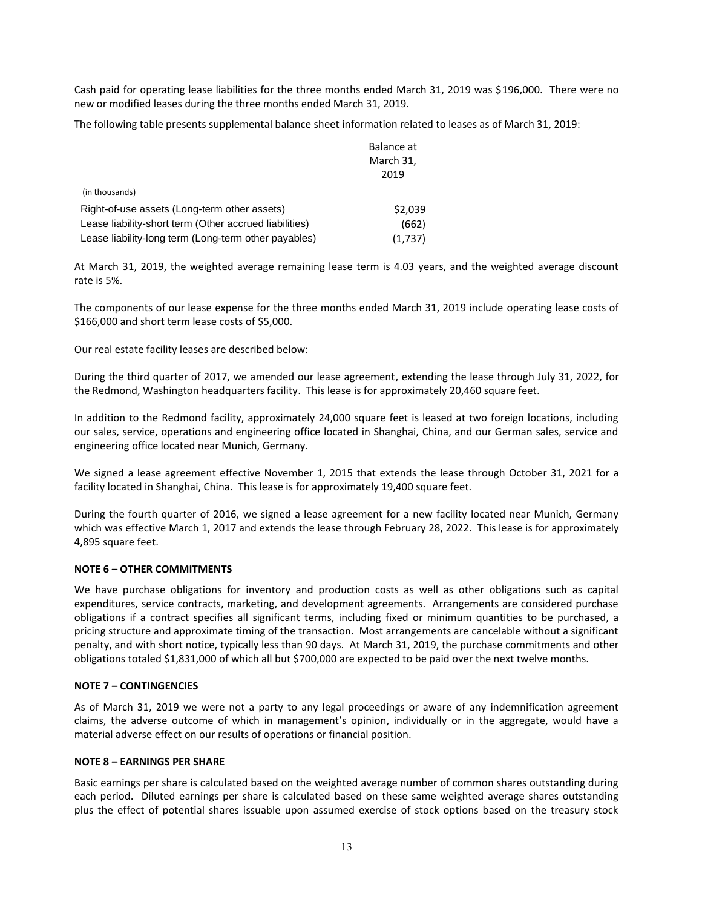Cash paid for operating lease liabilities for the three months ended March 31, 2019 was \$196,000. There were no new or modified leases during the three months ended March 31, 2019.

The following table presents supplemental balance sheet information related to leases as of March 31, 2019:

|                                                        | Balance at |
|--------------------------------------------------------|------------|
|                                                        | March 31,  |
|                                                        | 2019       |
| (in thousands)                                         |            |
| Right-of-use assets (Long-term other assets)           | \$2,039    |
| Lease liability-short term (Other accrued liabilities) | (662)      |
| Lease liability-long term (Long-term other payables)   | (1,737)    |

At March 31, 2019, the weighted average remaining lease term is 4.03 years, and the weighted average discount rate is 5%.

The components of our lease expense for the three months ended March 31, 2019 include operating lease costs of \$166,000 and short term lease costs of \$5,000.

Our real estate facility leases are described below:

During the third quarter of 2017, we amended our lease agreement, extending the lease through July 31, 2022, for the Redmond, Washington headquarters facility. This lease is for approximately 20,460 square feet.

In addition to the Redmond facility, approximately 24,000 square feet is leased at two foreign locations, including our sales, service, operations and engineering office located in Shanghai, China, and our German sales, service and engineering office located near Munich, Germany.

We signed a lease agreement effective November 1, 2015 that extends the lease through October 31, 2021 for a facility located in Shanghai, China. This lease is for approximately 19,400 square feet.

During the fourth quarter of 2016, we signed a lease agreement for a new facility located near Munich, Germany which was effective March 1, 2017 and extends the lease through February 28, 2022. This lease is for approximately 4,895 square feet.

#### **NOTE 6 – OTHER COMMITMENTS**

We have purchase obligations for inventory and production costs as well as other obligations such as capital expenditures, service contracts, marketing, and development agreements. Arrangements are considered purchase obligations if a contract specifies all significant terms, including fixed or minimum quantities to be purchased, a pricing structure and approximate timing of the transaction. Most arrangements are cancelable without a significant penalty, and with short notice, typically less than 90 days. At March 31, 2019, the purchase commitments and other obligations totaled \$1,831,000 of which all but \$700,000 are expected to be paid over the next twelve months.

#### **NOTE 7 – CONTINGENCIES**

As of March 31, 2019 we were not a party to any legal proceedings or aware of any indemnification agreement claims, the adverse outcome of which in management's opinion, individually or in the aggregate, would have a material adverse effect on our results of operations or financial position.

#### **NOTE 8 – EARNINGS PER SHARE**

Basic earnings per share is calculated based on the weighted average number of common shares outstanding during each period. Diluted earnings per share is calculated based on these same weighted average shares outstanding plus the effect of potential shares issuable upon assumed exercise of stock options based on the treasury stock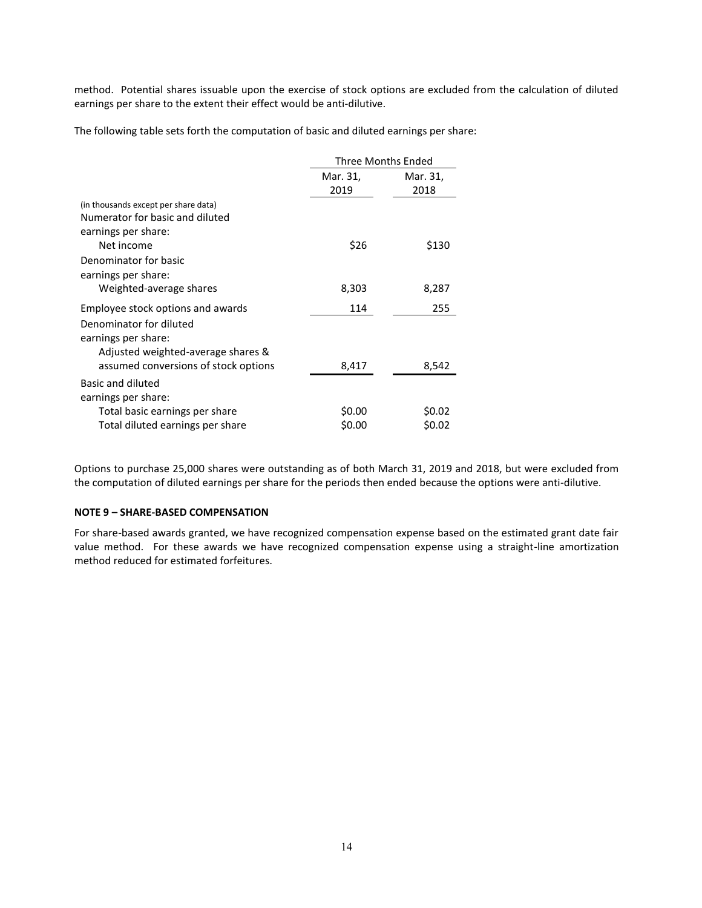method. Potential shares issuable upon the exercise of stock options are excluded from the calculation of diluted earnings per share to the extent their effect would be anti-dilutive.

The following table sets forth the computation of basic and diluted earnings per share:

|                                      | <b>Three Months Ended</b> |                  |
|--------------------------------------|---------------------------|------------------|
|                                      | Mar. 31,<br>2019          | Mar. 31,<br>2018 |
| (in thousands except per share data) |                           |                  |
| Numerator for basic and diluted      |                           |                  |
| earnings per share:                  |                           |                  |
| Net income                           | \$26                      | \$130            |
| Denominator for basic                |                           |                  |
| earnings per share:                  |                           |                  |
| Weighted-average shares              | 8,303                     | 8,287            |
| Employee stock options and awards    | 114                       | 255              |
| Denominator for diluted              |                           |                  |
| earnings per share:                  |                           |                  |
| Adjusted weighted-average shares &   |                           |                  |
| assumed conversions of stock options | 8,417                     | 8,542            |
| Basic and diluted                    |                           |                  |
| earnings per share:                  |                           |                  |
| Total basic earnings per share       | \$0.00                    | \$0.02           |
| Total diluted earnings per share     | \$0.00                    | \$0.02           |

Options to purchase 25,000 shares were outstanding as of both March 31, 2019 and 2018, but were excluded from the computation of diluted earnings per share for the periods then ended because the options were anti-dilutive.

# **NOTE 9 – SHARE-BASED COMPENSATION**

For share-based awards granted, we have recognized compensation expense based on the estimated grant date fair value method. For these awards we have recognized compensation expense using a straight-line amortization method reduced for estimated forfeitures.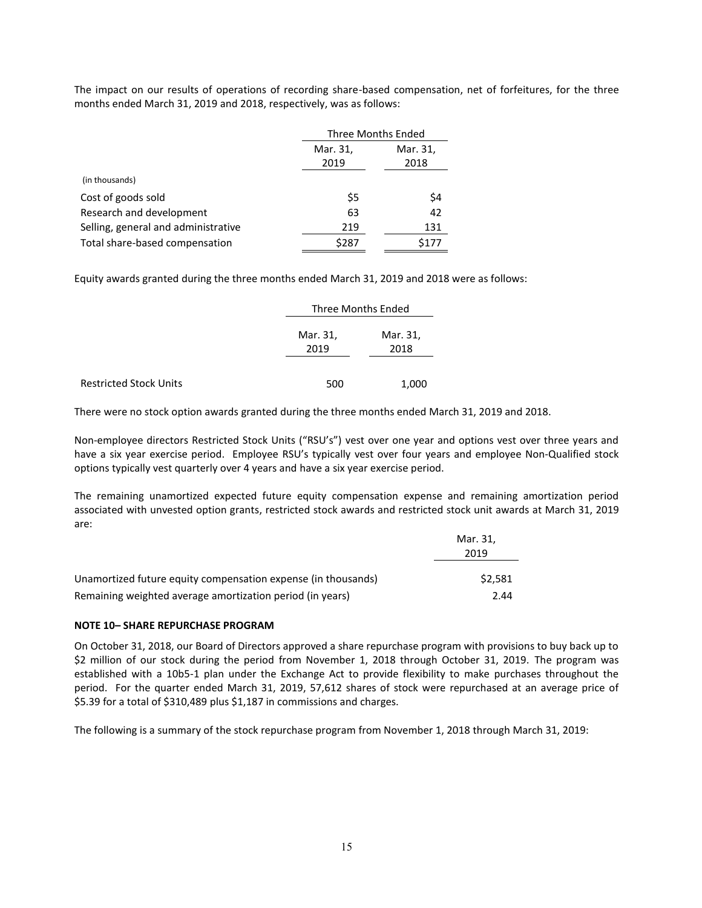The impact on our results of operations of recording share-based compensation, net of forfeitures, for the three months ended March 31, 2019 and 2018, respectively, was as follows:

|                                     | Three Months Ended |          |
|-------------------------------------|--------------------|----------|
|                                     | Mar. 31,           | Mar. 31, |
|                                     | 2019               | 2018     |
| (in thousands)                      |                    |          |
| Cost of goods sold                  | \$5                | \$4      |
| Research and development            | 63                 | 42       |
| Selling, general and administrative | 219                | 131      |
| Total share-based compensation      | \$287              | \$177    |

Equity awards granted during the three months ended March 31, 2019 and 2018 were as follows:

|                               |                  | Three Months Ended |  |
|-------------------------------|------------------|--------------------|--|
|                               | Mar. 31,<br>2019 | Mar. 31,<br>2018   |  |
| <b>Restricted Stock Units</b> | 500              | 1,000              |  |

There were no stock option awards granted during the three months ended March 31, 2019 and 2018.

Non-employee directors Restricted Stock Units ("RSU's") vest over one year and options vest over three years and have a six year exercise period. Employee RSU's typically vest over four years and employee Non-Qualified stock options typically vest quarterly over 4 years and have a six year exercise period.

The remaining unamortized expected future equity compensation expense and remaining amortization period associated with unvested option grants, restricted stock awards and restricted stock unit awards at March 31, 2019 are:

|                                                               | Mar. 31.<br>2019 |
|---------------------------------------------------------------|------------------|
| Unamortized future equity compensation expense (in thousands) | \$2.581          |
| Remaining weighted average amortization period (in years)     | 2.44             |

#### **NOTE 10– SHARE REPURCHASE PROGRAM**

On October 31, 2018, our Board of Directors approved a share repurchase program with provisions to buy back up to \$2 million of our stock during the period from November 1, 2018 through October 31, 2019. The program was established with a 10b5-1 plan under the Exchange Act to provide flexibility to make purchases throughout the period. For the quarter ended March 31, 2019, 57,612 shares of stock were repurchased at an average price of \$5.39 for a total of \$310,489 plus \$1,187 in commissions and charges.

The following is a summary of the stock repurchase program from November 1, 2018 through March 31, 2019: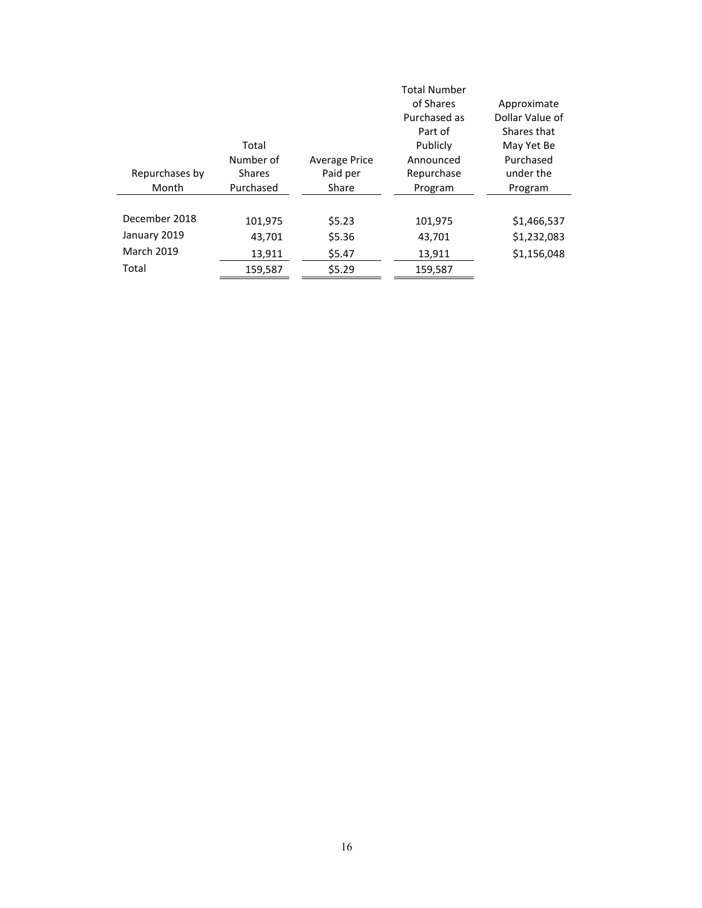|                   |               |                      | <b>Total Number</b> |                 |
|-------------------|---------------|----------------------|---------------------|-----------------|
|                   |               |                      | of Shares           | Approximate     |
|                   |               |                      | Purchased as        | Dollar Value of |
|                   |               |                      | Part of             | Shares that     |
|                   | Total         |                      | Publicly            | May Yet Be      |
|                   | Number of     | <b>Average Price</b> | Announced           | Purchased       |
| Repurchases by    | <b>Shares</b> | Paid per             | Repurchase          | under the       |
| Month             | Purchased     | Share                | Program             | Program         |
|                   |               |                      |                     |                 |
| December 2018     | 101,975       | \$5.23               | 101,975             | \$1,466,537     |
| January 2019      | 43,701        | \$5.36               | 43,701              | \$1,232,083     |
| <b>March 2019</b> | 13,911        | \$5.47               | 13,911              | \$1,156,048     |
| Total             | 159,587       | \$5.29               | 159,587             |                 |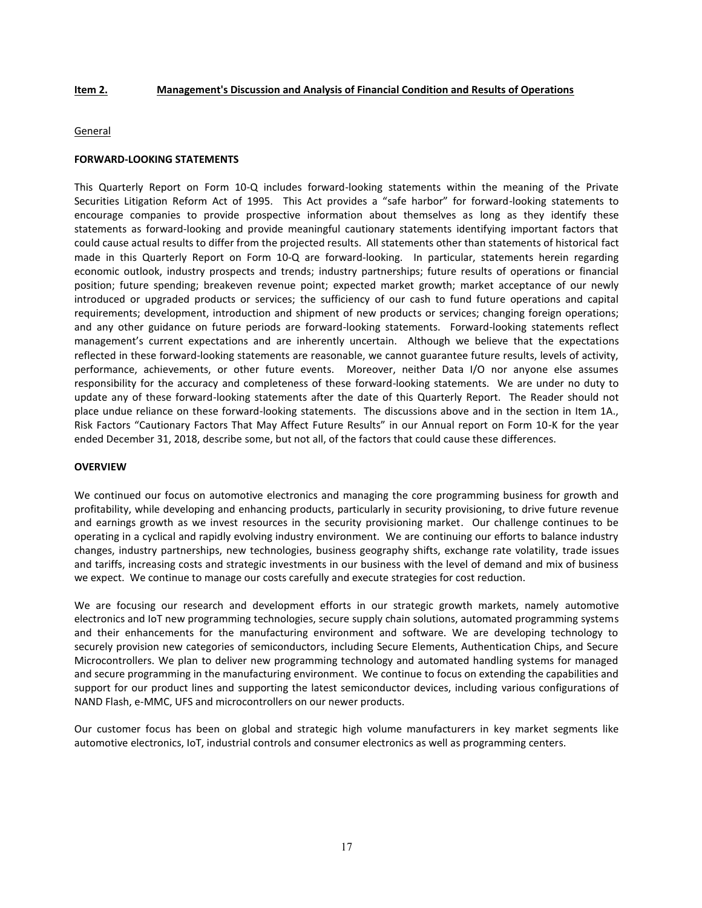#### **Item 2. Management's Discussion and Analysis of Financial Condition and Results of Operations**

#### **General**

#### **FORWARD-LOOKING STATEMENTS**

This Quarterly Report on Form 10-Q includes forward-looking statements within the meaning of the Private Securities Litigation Reform Act of 1995. This Act provides a "safe harbor" for forward-looking statements to encourage companies to provide prospective information about themselves as long as they identify these statements as forward-looking and provide meaningful cautionary statements identifying important factors that could cause actual results to differ from the projected results. All statements other than statements of historical fact made in this Quarterly Report on Form 10-Q are forward-looking. In particular, statements herein regarding economic outlook, industry prospects and trends; industry partnerships; future results of operations or financial position; future spending; breakeven revenue point; expected market growth; market acceptance of our newly introduced or upgraded products or services; the sufficiency of our cash to fund future operations and capital requirements; development, introduction and shipment of new products or services; changing foreign operations; and any other guidance on future periods are forward-looking statements. Forward-looking statements reflect management's current expectations and are inherently uncertain. Although we believe that the expectations reflected in these forward-looking statements are reasonable, we cannot guarantee future results, levels of activity, performance, achievements, or other future events. Moreover, neither Data I/O nor anyone else assumes responsibility for the accuracy and completeness of these forward-looking statements. We are under no duty to update any of these forward-looking statements after the date of this Quarterly Report. The Reader should not place undue reliance on these forward-looking statements. The discussions above and in the section in Item 1A., Risk Factors "Cautionary Factors That May Affect Future Results" in our Annual report on Form 10-K for the year ended December 31, 2018, describe some, but not all, of the factors that could cause these differences.

#### **OVERVIEW**

We continued our focus on automotive electronics and managing the core programming business for growth and profitability, while developing and enhancing products, particularly in security provisioning, to drive future revenue and earnings growth as we invest resources in the security provisioning market. Our challenge continues to be operating in a cyclical and rapidly evolving industry environment. We are continuing our efforts to balance industry changes, industry partnerships, new technologies, business geography shifts, exchange rate volatility, trade issues and tariffs, increasing costs and strategic investments in our business with the level of demand and mix of business we expect. We continue to manage our costs carefully and execute strategies for cost reduction.

We are focusing our research and development efforts in our strategic growth markets, namely automotive electronics and IoT new programming technologies, secure supply chain solutions, automated programming systems and their enhancements for the manufacturing environment and software. We are developing technology to securely provision new categories of semiconductors, including Secure Elements, Authentication Chips, and Secure Microcontrollers. We plan to deliver new programming technology and automated handling systems for managed and secure programming in the manufacturing environment. We continue to focus on extending the capabilities and support for our product lines and supporting the latest semiconductor devices, including various configurations of NAND Flash, e-MMC, UFS and microcontrollers on our newer products.

Our customer focus has been on global and strategic high volume manufacturers in key market segments like automotive electronics, IoT, industrial controls and consumer electronics as well as programming centers.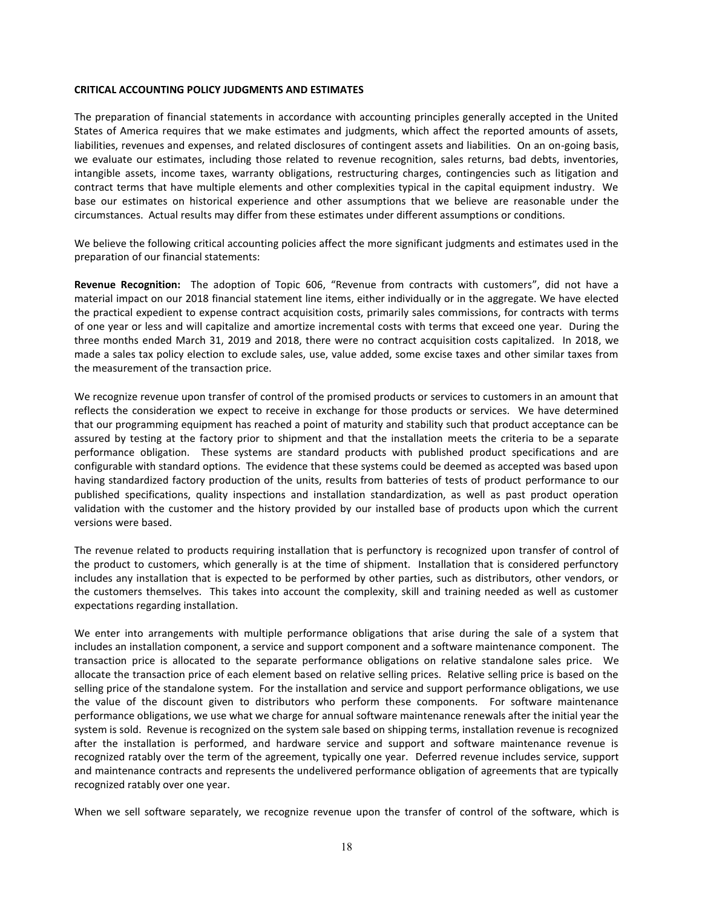#### **CRITICAL ACCOUNTING POLICY JUDGMENTS AND ESTIMATES**

The preparation of financial statements in accordance with accounting principles generally accepted in the United States of America requires that we make estimates and judgments, which affect the reported amounts of assets, liabilities, revenues and expenses, and related disclosures of contingent assets and liabilities. On an on-going basis, we evaluate our estimates, including those related to revenue recognition, sales returns, bad debts, inventories, intangible assets, income taxes, warranty obligations, restructuring charges, contingencies such as litigation and contract terms that have multiple elements and other complexities typical in the capital equipment industry. We base our estimates on historical experience and other assumptions that we believe are reasonable under the circumstances. Actual results may differ from these estimates under different assumptions or conditions.

We believe the following critical accounting policies affect the more significant judgments and estimates used in the preparation of our financial statements:

**Revenue Recognition:** The adoption of Topic 606, "Revenue from contracts with customers", did not have a material impact on our 2018 financial statement line items, either individually or in the aggregate. We have elected the practical expedient to expense contract acquisition costs, primarily sales commissions, for contracts with terms of one year or less and will capitalize and amortize incremental costs with terms that exceed one year. During the three months ended March 31, 2019 and 2018, there were no contract acquisition costs capitalized. In 2018, we made a sales tax policy election to exclude sales, use, value added, some excise taxes and other similar taxes from the measurement of the transaction price.

We recognize revenue upon transfer of control of the promised products or services to customers in an amount that reflects the consideration we expect to receive in exchange for those products or services. We have determined that our programming equipment has reached a point of maturity and stability such that product acceptance can be assured by testing at the factory prior to shipment and that the installation meets the criteria to be a separate performance obligation. These systems are standard products with published product specifications and are configurable with standard options. The evidence that these systems could be deemed as accepted was based upon having standardized factory production of the units, results from batteries of tests of product performance to our published specifications, quality inspections and installation standardization, as well as past product operation validation with the customer and the history provided by our installed base of products upon which the current versions were based.

The revenue related to products requiring installation that is perfunctory is recognized upon transfer of control of the product to customers, which generally is at the time of shipment. Installation that is considered perfunctory includes any installation that is expected to be performed by other parties, such as distributors, other vendors, or the customers themselves. This takes into account the complexity, skill and training needed as well as customer expectations regarding installation.

We enter into arrangements with multiple performance obligations that arise during the sale of a system that includes an installation component, a service and support component and a software maintenance component. The transaction price is allocated to the separate performance obligations on relative standalone sales price. We allocate the transaction price of each element based on relative selling prices. Relative selling price is based on the selling price of the standalone system. For the installation and service and support performance obligations, we use the value of the discount given to distributors who perform these components. For software maintenance performance obligations, we use what we charge for annual software maintenance renewals after the initial year the system is sold. Revenue is recognized on the system sale based on shipping terms, installation revenue is recognized after the installation is performed, and hardware service and support and software maintenance revenue is recognized ratably over the term of the agreement, typically one year. Deferred revenue includes service, support and maintenance contracts and represents the undelivered performance obligation of agreements that are typically recognized ratably over one year.

When we sell software separately, we recognize revenue upon the transfer of control of the software, which is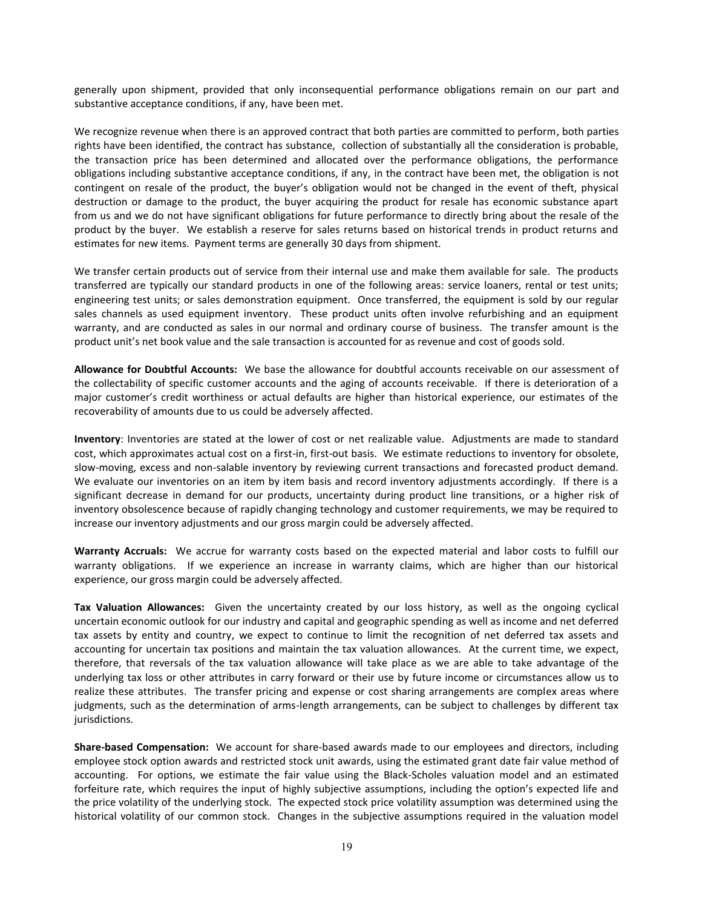generally upon shipment, provided that only inconsequential performance obligations remain on our part and substantive acceptance conditions, if any, have been met.

We recognize revenue when there is an approved contract that both parties are committed to perform, both parties rights have been identified, the contract has substance, collection of substantially all the consideration is probable, the transaction price has been determined and allocated over the performance obligations, the performance obligations including substantive acceptance conditions, if any, in the contract have been met, the obligation is not contingent on resale of the product, the buyer's obligation would not be changed in the event of theft, physical destruction or damage to the product, the buyer acquiring the product for resale has economic substance apart from us and we do not have significant obligations for future performance to directly bring about the resale of the product by the buyer. We establish a reserve for sales returns based on historical trends in product returns and estimates for new items. Payment terms are generally 30 days from shipment.

We transfer certain products out of service from their internal use and make them available for sale. The products transferred are typically our standard products in one of the following areas: service loaners, rental or test units; engineering test units; or sales demonstration equipment. Once transferred, the equipment is sold by our regular sales channels as used equipment inventory. These product units often involve refurbishing and an equipment warranty, and are conducted as sales in our normal and ordinary course of business. The transfer amount is the product unit's net book value and the sale transaction is accounted for as revenue and cost of goods sold.

**Allowance for Doubtful Accounts:** We base the allowance for doubtful accounts receivable on our assessment of the collectability of specific customer accounts and the aging of accounts receivable. If there is deterioration of a major customer's credit worthiness or actual defaults are higher than historical experience, our estimates of the recoverability of amounts due to us could be adversely affected.

**Inventory**: Inventories are stated at the lower of cost or net realizable value. Adjustments are made to standard cost, which approximates actual cost on a first-in, first-out basis. We estimate reductions to inventory for obsolete, slow-moving, excess and non-salable inventory by reviewing current transactions and forecasted product demand. We evaluate our inventories on an item by item basis and record inventory adjustments accordingly. If there is a significant decrease in demand for our products, uncertainty during product line transitions, or a higher risk of inventory obsolescence because of rapidly changing technology and customer requirements, we may be required to increase our inventory adjustments and our gross margin could be adversely affected.

**Warranty Accruals:** We accrue for warranty costs based on the expected material and labor costs to fulfill our warranty obligations. If we experience an increase in warranty claims, which are higher than our historical experience, our gross margin could be adversely affected.

**Tax Valuation Allowances:** Given the uncertainty created by our loss history, as well as the ongoing cyclical uncertain economic outlook for our industry and capital and geographic spending as well as income and net deferred tax assets by entity and country, we expect to continue to limit the recognition of net deferred tax assets and accounting for uncertain tax positions and maintain the tax valuation allowances. At the current time, we expect, therefore, that reversals of the tax valuation allowance will take place as we are able to take advantage of the underlying tax loss or other attributes in carry forward or their use by future income or circumstances allow us to realize these attributes. The transfer pricing and expense or cost sharing arrangements are complex areas where judgments, such as the determination of arms-length arrangements, can be subject to challenges by different tax jurisdictions.

**Share-based Compensation:** We account for share-based awards made to our employees and directors, including employee stock option awards and restricted stock unit awards, using the estimated grant date fair value method of accounting. For options, we estimate the fair value using the Black-Scholes valuation model and an estimated forfeiture rate, which requires the input of highly subjective assumptions, including the option's expected life and the price volatility of the underlying stock. The expected stock price volatility assumption was determined using the historical volatility of our common stock. Changes in the subjective assumptions required in the valuation model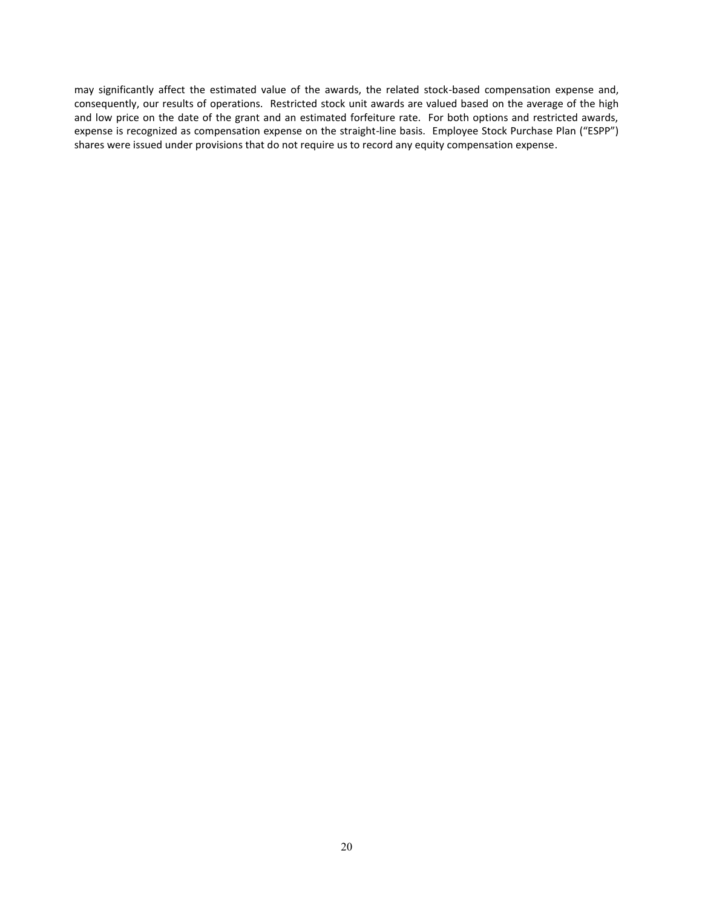may significantly affect the estimated value of the awards, the related stock-based compensation expense and, consequently, our results of operations. Restricted stock unit awards are valued based on the average of the high and low price on the date of the grant and an estimated forfeiture rate. For both options and restricted awards, expense is recognized as compensation expense on the straight-line basis. Employee Stock Purchase Plan ("ESPP") shares were issued under provisions that do not require us to record any equity compensation expense.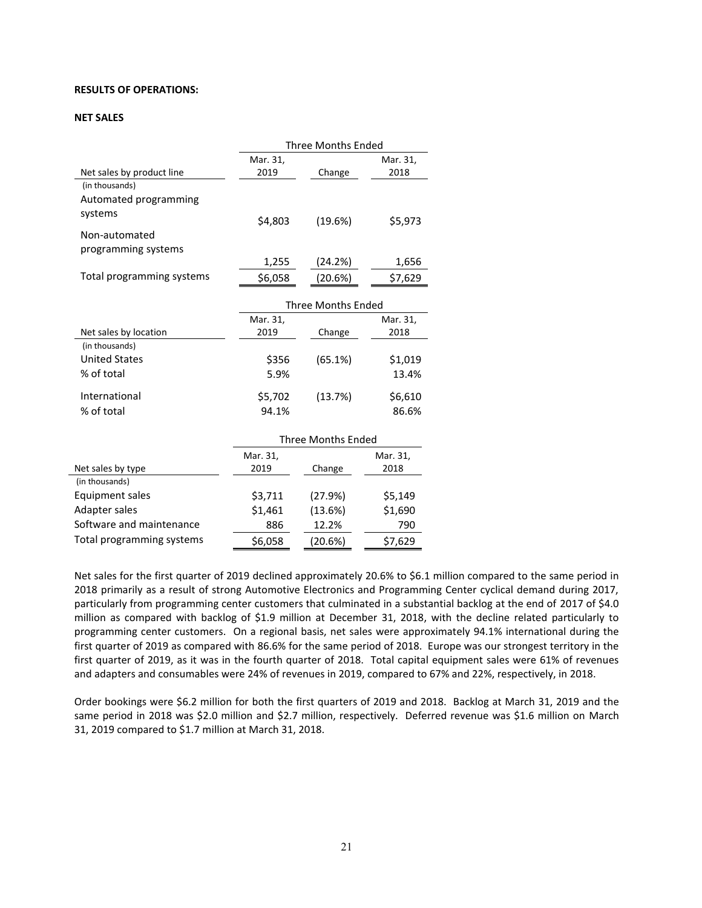#### **RESULTS OF OPERATIONS:**

#### **NET SALES**

|                           | <b>Three Months Ended</b> |                           |          |
|---------------------------|---------------------------|---------------------------|----------|
|                           | Mar. 31,                  |                           | Mar. 31, |
| Net sales by product line | 2019                      | Change                    | 2018     |
| (in thousands)            |                           |                           |          |
| Automated programming     |                           |                           |          |
| systems                   | \$4,803                   | (19.6%)                   | \$5,973  |
| Non-automated             |                           |                           |          |
| programming systems       |                           |                           |          |
|                           | 1,255                     | (24.2%)                   | 1,656    |
| Total programming systems | \$6,058                   | (20.6%)                   | \$7,629  |
|                           |                           | <b>Three Months Ended</b> |          |
|                           | Mar. 31,                  |                           | Mar. 31, |
| Net sales by location     | 2019                      | Change                    | 2018     |
| (in thousands)            |                           |                           |          |
| <b>United States</b>      | \$356                     | (65.1%)                   | \$1,019  |
| % of total                | 5.9%                      |                           | 13.4%    |
| International             | \$5,702                   | (13.7%)                   | \$6,610  |
| % of total                | 94.1%                     |                           | 86.6%    |
|                           |                           | Three Months Ended        |          |
|                           | Mar. 31,                  |                           | Mar. 31, |
| Net sales by type         | 2019                      | Change                    | 2018     |
| (in thousands)            |                           |                           |          |
| <b>Equipment sales</b>    | \$3,711                   | (27.9%)                   | \$5,149  |
| Adapter sales             | \$1,461                   | (13.6%)                   | \$1,690  |
| Software and maintenance  | 886                       | 12.2%                     | 790      |
| Total programming systems | \$6,058                   | (20.6%)                   | \$7,629  |

Net sales for the first quarter of 2019 declined approximately 20.6% to \$6.1 million compared to the same period in 2018 primarily as a result of strong Automotive Electronics and Programming Center cyclical demand during 2017, particularly from programming center customers that culminated in a substantial backlog at the end of 2017 of \$4.0 million as compared with backlog of \$1.9 million at December 31, 2018, with the decline related particularly to programming center customers. On a regional basis, net sales were approximately 94.1% international during the first quarter of 2019 as compared with 86.6% for the same period of 2018. Europe was our strongest territory in the first quarter of 2019, as it was in the fourth quarter of 2018. Total capital equipment sales were 61% of revenues and adapters and consumables were 24% of revenues in 2019, compared to 67% and 22%, respectively, in 2018.

Order bookings were \$6.2 million for both the first quarters of 2019 and 2018. Backlog at March 31, 2019 and the same period in 2018 was \$2.0 million and \$2.7 million, respectively. Deferred revenue was \$1.6 million on March 31, 2019 compared to \$1.7 million at March 31, 2018.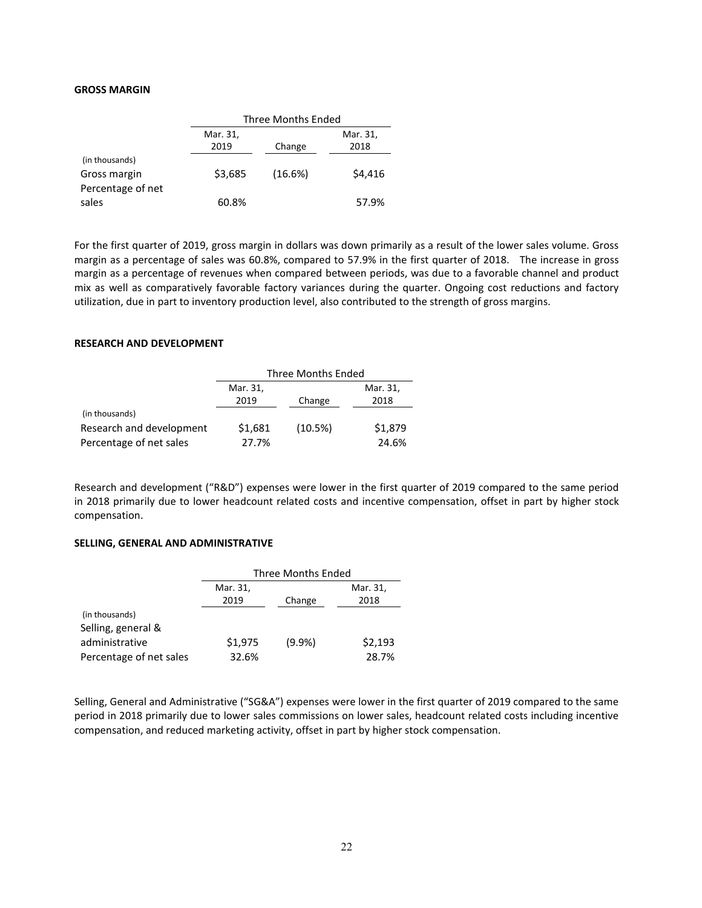### **GROSS MARGIN**

|                   | <b>Three Months Ended</b> |         |          |
|-------------------|---------------------------|---------|----------|
|                   | Mar. 31,                  |         | Mar. 31, |
|                   | 2019                      | Change  | 2018     |
| (in thousands)    |                           |         |          |
| Gross margin      | \$3,685                   | (16.6%) | \$4,416  |
| Percentage of net |                           |         |          |
| sales             | 60.8%                     |         | 57.9%    |

For the first quarter of 2019, gross margin in dollars was down primarily as a result of the lower sales volume. Gross margin as a percentage of sales was 60.8%, compared to 57.9% in the first quarter of 2018. The increase in gross margin as a percentage of revenues when compared between periods, was due to a favorable channel and product mix as well as comparatively favorable factory variances during the quarter. Ongoing cost reductions and factory utilization, due in part to inventory production level, also contributed to the strength of gross margins.

### **RESEARCH AND DEVELOPMENT**

|                          | <b>Three Months Ended</b> |         |          |
|--------------------------|---------------------------|---------|----------|
|                          | Mar. 31,                  |         | Mar. 31, |
|                          | 2019                      | Change  | 2018     |
| (in thousands)           |                           |         |          |
| Research and development | \$1,681                   | (10.5%) | \$1,879  |
| Percentage of net sales  | 27.7%                     |         | 24.6%    |

Research and development ("R&D") expenses were lower in the first quarter of 2019 compared to the same period in 2018 primarily due to lower headcount related costs and incentive compensation, offset in part by higher stock compensation.

### **SELLING, GENERAL AND ADMINISTRATIVE**

|                         | Three Months Ended |           |          |
|-------------------------|--------------------|-----------|----------|
|                         | Mar. 31,           |           | Mar. 31, |
|                         | 2019               | Change    | 2018     |
| (in thousands)          |                    |           |          |
| Selling, general &      |                    |           |          |
| administrative          | \$1,975            | $(9.9\%)$ | \$2,193  |
| Percentage of net sales | 32.6%              |           | 28.7%    |

Selling, General and Administrative ("SG&A") expenses were lower in the first quarter of 2019 compared to the same period in 2018 primarily due to lower sales commissions on lower sales, headcount related costs including incentive compensation, and reduced marketing activity, offset in part by higher stock compensation.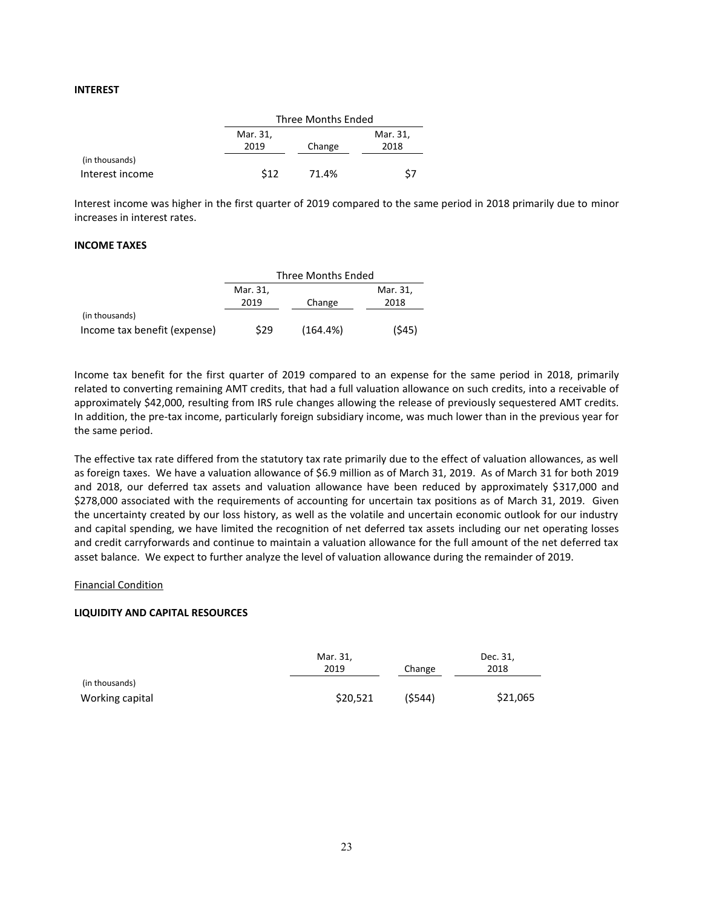#### **INTEREST**

|                 |          | Three Months Ended |          |  |
|-----------------|----------|--------------------|----------|--|
|                 | Mar. 31, |                    | Mar. 31, |  |
|                 | 2019     | Change             | 2018     |  |
| (in thousands)  |          |                    |          |  |
| Interest income | \$12     | 71.4%              |          |  |

Interest income was higher in the first quarter of 2019 compared to the same period in 2018 primarily due to minor increases in interest rates.

#### **INCOME TAXES**

|                              | Three Months Ended |          |          |
|------------------------------|--------------------|----------|----------|
|                              | Mar. 31,           |          | Mar. 31, |
|                              | 2019               | Change   | 2018     |
| (in thousands)               |                    |          |          |
| Income tax benefit (expense) | \$29               | (164.4%) | (545)    |

Income tax benefit for the first quarter of 2019 compared to an expense for the same period in 2018, primarily related to converting remaining AMT credits, that had a full valuation allowance on such credits, into a receivable of approximately \$42,000, resulting from IRS rule changes allowing the release of previously sequestered AMT credits. In addition, the pre-tax income, particularly foreign subsidiary income, was much lower than in the previous year for the same period.

The effective tax rate differed from the statutory tax rate primarily due to the effect of valuation allowances, as well as foreign taxes. We have a valuation allowance of \$6.9 million as of March 31, 2019. As of March 31 for both 2019 and 2018, our deferred tax assets and valuation allowance have been reduced by approximately \$317,000 and \$278,000 associated with the requirements of accounting for uncertain tax positions as of March 31, 2019. Given the uncertainty created by our loss history, as well as the volatile and uncertain economic outlook for our industry and capital spending, we have limited the recognition of net deferred tax assets including our net operating losses and credit carryforwards and continue to maintain a valuation allowance for the full amount of the net deferred tax asset balance. We expect to further analyze the level of valuation allowance during the remainder of 2019.

#### Financial Condition

# **LIQUIDITY AND CAPITAL RESOURCES**

|                 | Mar. 31, |         | Dec. 31, |
|-----------------|----------|---------|----------|
|                 | 2019     | Change  | 2018     |
| (in thousands)  |          |         |          |
| Working capital | \$20,521 | (\$544) | \$21,065 |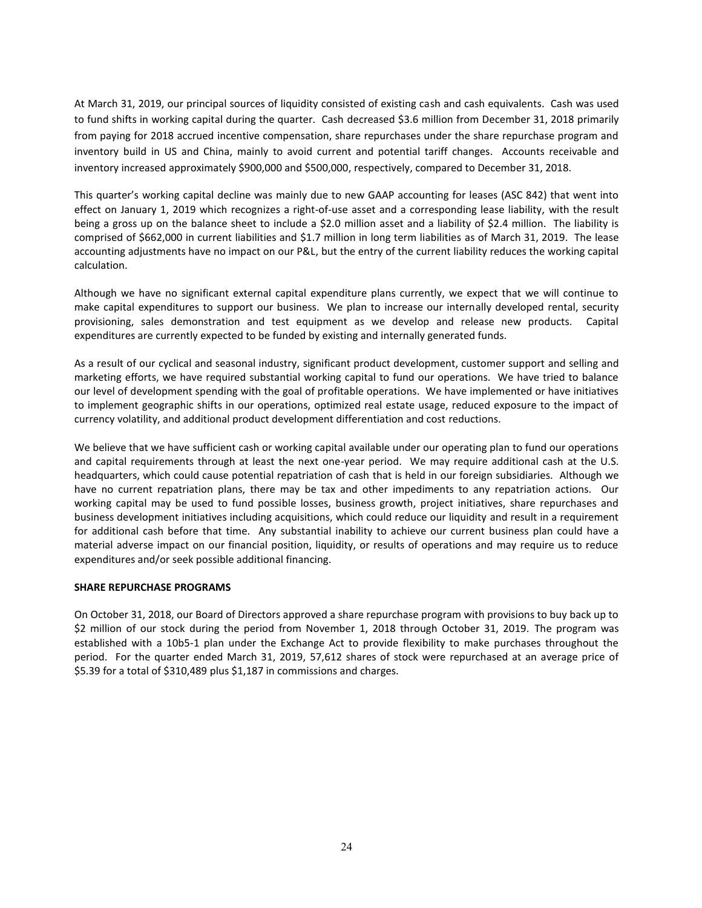At March 31, 2019, our principal sources of liquidity consisted of existing cash and cash equivalents. Cash was used to fund shifts in working capital during the quarter. Cash decreased \$3.6 million from December 31, 2018 primarily from paying for 2018 accrued incentive compensation, share repurchases under the share repurchase program and inventory build in US and China, mainly to avoid current and potential tariff changes. Accounts receivable and inventory increased approximately \$900,000 and \$500,000, respectively, compared to December 31, 2018.

This quarter's working capital decline was mainly due to new GAAP accounting for leases (ASC 842) that went into effect on January 1, 2019 which recognizes a right-of-use asset and a corresponding lease liability, with the result being a gross up on the balance sheet to include a \$2.0 million asset and a liability of \$2.4 million. The liability is comprised of \$662,000 in current liabilities and \$1.7 million in long term liabilities as of March 31, 2019. The lease accounting adjustments have no impact on our P&L, but the entry of the current liability reduces the working capital calculation.

Although we have no significant external capital expenditure plans currently, we expect that we will continue to make capital expenditures to support our business. We plan to increase our internally developed rental, security provisioning, sales demonstration and test equipment as we develop and release new products. Capital expenditures are currently expected to be funded by existing and internally generated funds.

As a result of our cyclical and seasonal industry, significant product development, customer support and selling and marketing efforts, we have required substantial working capital to fund our operations. We have tried to balance our level of development spending with the goal of profitable operations. We have implemented or have initiatives to implement geographic shifts in our operations, optimized real estate usage, reduced exposure to the impact of currency volatility, and additional product development differentiation and cost reductions.

We believe that we have sufficient cash or working capital available under our operating plan to fund our operations and capital requirements through at least the next one-year period. We may require additional cash at the U.S. headquarters, which could cause potential repatriation of cash that is held in our foreign subsidiaries. Although we have no current repatriation plans, there may be tax and other impediments to any repatriation actions. Our working capital may be used to fund possible losses, business growth, project initiatives, share repurchases and business development initiatives including acquisitions, which could reduce our liquidity and result in a requirement for additional cash before that time. Any substantial inability to achieve our current business plan could have a material adverse impact on our financial position, liquidity, or results of operations and may require us to reduce expenditures and/or seek possible additional financing.

#### **SHARE REPURCHASE PROGRAMS**

On October 31, 2018, our Board of Directors approved a share repurchase program with provisions to buy back up to \$2 million of our stock during the period from November 1, 2018 through October 31, 2019. The program was established with a 10b5-1 plan under the Exchange Act to provide flexibility to make purchases throughout the period. For the quarter ended March 31, 2019, 57,612 shares of stock were repurchased at an average price of \$5.39 for a total of \$310,489 plus \$1,187 in commissions and charges.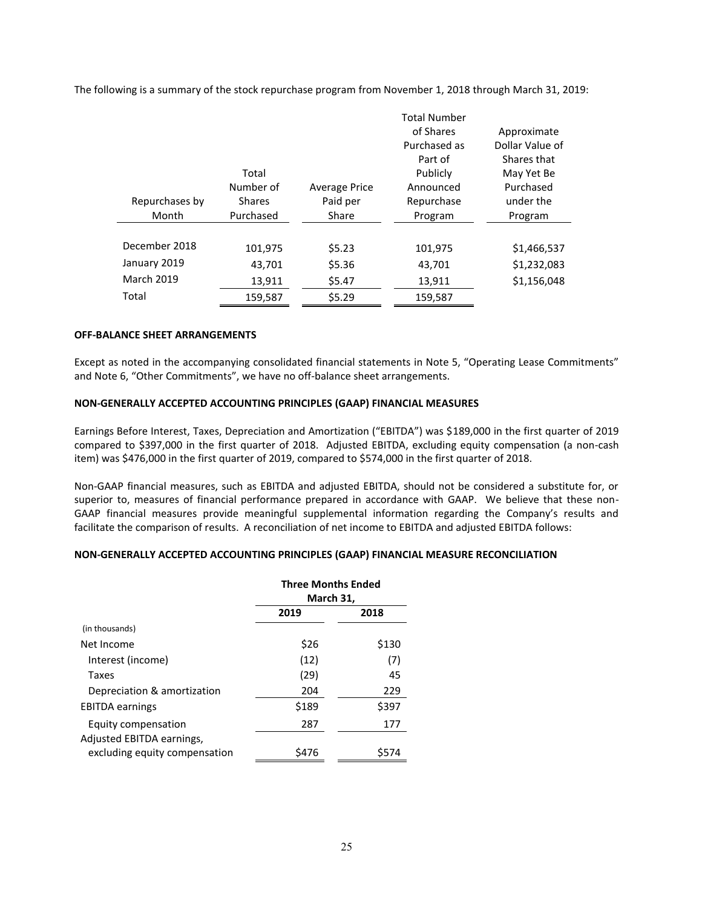The following is a summary of the stock repurchase program from November 1, 2018 through March 31, 2019:

|                   |               |                      | <b>Total Number</b> |                 |
|-------------------|---------------|----------------------|---------------------|-----------------|
|                   |               |                      | of Shares           | Approximate     |
|                   |               |                      | Purchased as        | Dollar Value of |
|                   |               |                      | Part of             | Shares that     |
|                   | Total         |                      | Publicly            | May Yet Be      |
|                   | Number of     | <b>Average Price</b> | Announced           | Purchased       |
| Repurchases by    | <b>Shares</b> | Paid per             | Repurchase          | under the       |
| Month             | Purchased     | Share                | Program             | Program         |
|                   |               |                      |                     |                 |
| December 2018     | 101,975       | \$5.23               | 101,975             | \$1,466,537     |
| January 2019      | 43,701        | \$5.36               | 43,701              | \$1,232,083     |
| <b>March 2019</b> | 13,911        | \$5.47               | 13,911              | \$1,156,048     |
| Total             | 159,587       | \$5.29               | 159,587             |                 |

#### **OFF-BALANCE SHEET ARRANGEMENTS**

Except as noted in the accompanying consolidated financial statements in Note 5, "Operating Lease Commitments" and Note 6, "Other Commitments", we have no off-balance sheet arrangements.

#### **NON-GENERALLY ACCEPTED ACCOUNTING PRINCIPLES (GAAP) FINANCIAL MEASURES**

Earnings Before Interest, Taxes, Depreciation and Amortization ("EBITDA") was \$189,000 in the first quarter of 2019 compared to \$397,000 in the first quarter of 2018. Adjusted EBITDA, excluding equity compensation (a non-cash item) was \$476,000 in the first quarter of 2019, compared to \$574,000 in the first quarter of 2018.

Non-GAAP financial measures, such as EBITDA and adjusted EBITDA, should not be considered a substitute for, or superior to, measures of financial performance prepared in accordance with GAAP. We believe that these non-GAAP financial measures provide meaningful supplemental information regarding the Company's results and facilitate the comparison of results. A reconciliation of net income to EBITDA and adjusted EBITDA follows:

#### **NON-GENERALLY ACCEPTED ACCOUNTING PRINCIPLES (GAAP) FINANCIAL MEASURE RECONCILIATION**

|                               | <b>Three Months Ended</b><br>March 31, |       |
|-------------------------------|----------------------------------------|-------|
|                               | 2019                                   | 2018  |
| (in thousands)                |                                        |       |
| Net Income                    | \$26                                   | \$130 |
| Interest (income)             | (12)                                   | (7)   |
| Taxes                         | (29)                                   | 45    |
| Depreciation & amortization   | 204                                    | 229   |
| <b>EBITDA</b> earnings        | \$189                                  | \$397 |
| Equity compensation           | 287                                    | 177   |
| Adjusted EBITDA earnings,     |                                        |       |
| excluding equity compensation | \$476                                  | \$574 |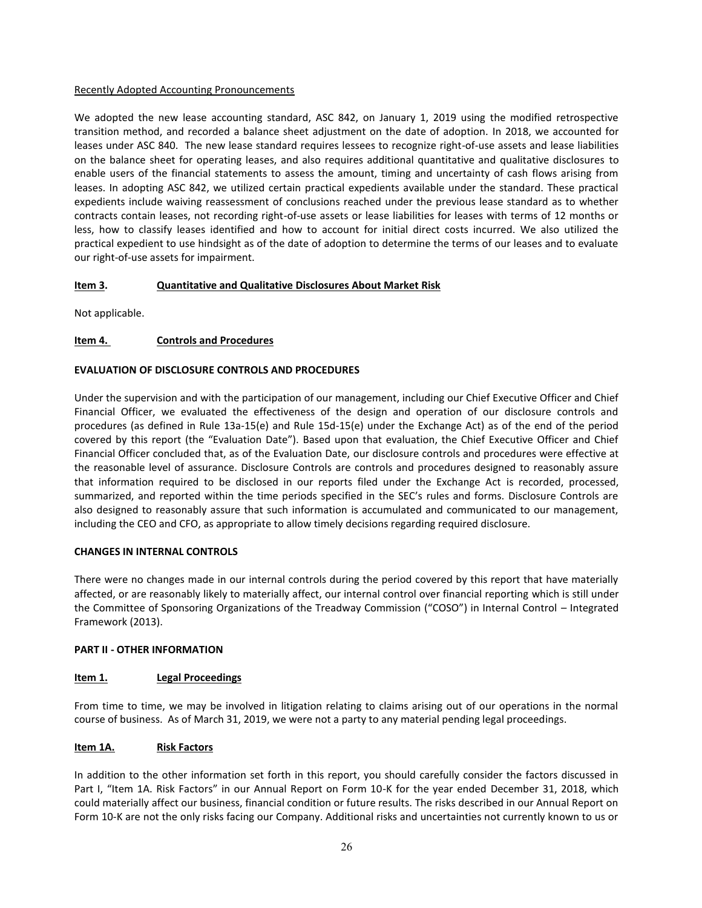#### Recently Adopted Accounting Pronouncements

We adopted the new lease accounting standard, ASC 842, on January 1, 2019 using the modified retrospective transition method, and recorded a balance sheet adjustment on the date of adoption. In 2018, we accounted for leases under ASC 840. The new lease standard requires lessees to recognize right-of-use assets and lease liabilities on the balance sheet for operating leases, and also requires additional quantitative and qualitative disclosures to enable users of the financial statements to assess the amount, timing and uncertainty of cash flows arising from leases. In adopting ASC 842, we utilized certain practical expedients available under the standard. These practical expedients include waiving reassessment of conclusions reached under the previous lease standard as to whether contracts contain leases, not recording right-of-use assets or lease liabilities for leases with terms of 12 months or less, how to classify leases identified and how to account for initial direct costs incurred. We also utilized the practical expedient to use hindsight as of the date of adoption to determine the terms of our leases and to evaluate our right-of-use assets for impairment.

# **Item 3. Quantitative and Qualitative Disclosures About Market Risk**

Not applicable.

# **Item 4. Controls and Procedures**

# **EVALUATION OF DISCLOSURE CONTROLS AND PROCEDURES**

Under the supervision and with the participation of our management, including our Chief Executive Officer and Chief Financial Officer, we evaluated the effectiveness of the design and operation of our disclosure controls and procedures (as defined in Rule 13a-15(e) and Rule 15d-15(e) under the Exchange Act) as of the end of the period covered by this report (the "Evaluation Date"). Based upon that evaluation, the Chief Executive Officer and Chief Financial Officer concluded that, as of the Evaluation Date, our disclosure controls and procedures were effective at the reasonable level of assurance. Disclosure Controls are controls and procedures designed to reasonably assure that information required to be disclosed in our reports filed under the Exchange Act is recorded, processed, summarized, and reported within the time periods specified in the SEC's rules and forms. Disclosure Controls are also designed to reasonably assure that such information is accumulated and communicated to our management, including the CEO and CFO, as appropriate to allow timely decisions regarding required disclosure.

# **CHANGES IN INTERNAL CONTROLS**

There were no changes made in our internal controls during the period covered by this report that have materially affected, or are reasonably likely to materially affect, our internal control over financial reporting which is still under the Committee of Sponsoring Organizations of the Treadway Commission ("COSO") in Internal Control – Integrated Framework (2013).

# **PART II - OTHER INFORMATION**

# **Item 1. Legal Proceedings**

From time to time, we may be involved in litigation relating to claims arising out of our operations in the normal course of business. As of March 31, 2019, we were not a party to any material pending legal proceedings.

# **Item 1A. Risk Factors**

In addition to the other information set forth in this report, you should carefully consider the factors discussed in Part I, "Item 1A. Risk Factors" in our Annual Report on Form 10-K for the year ended December 31, 2018, which could materially affect our business, financial condition or future results. The risks described in our Annual Report on Form 10-K are not the only risks facing our Company. Additional risks and uncertainties not currently known to us or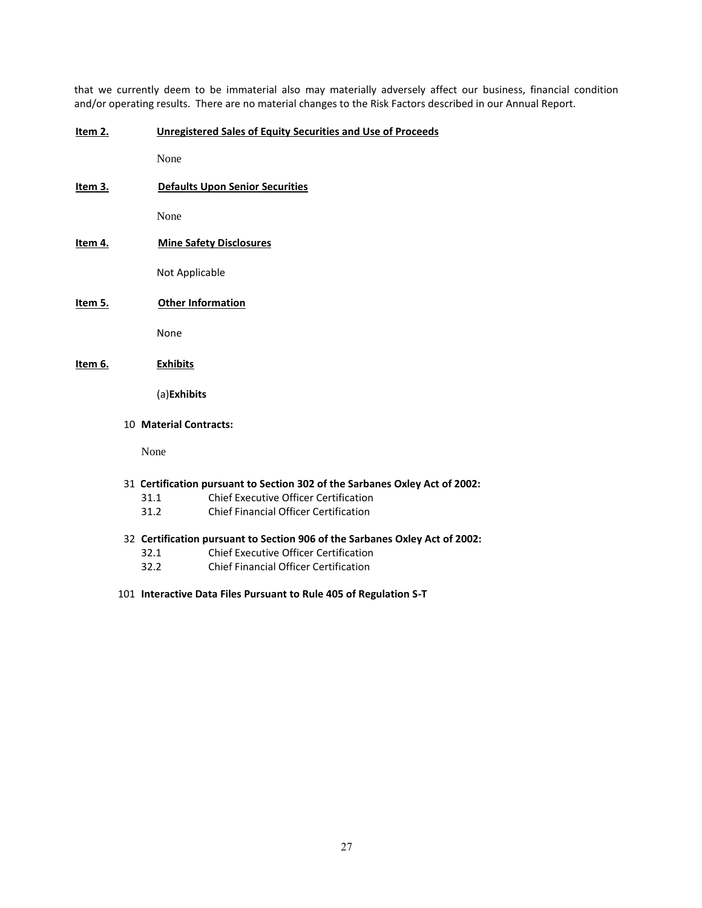that we currently deem to be immaterial also may materially adversely affect our business, financial condition and/or operating results. There are no material changes to the Risk Factors described in our Annual Report.

#### **Item 2. Unregistered Sales of Equity Securities and Use of Proceeds**

None

**Item 3. Defaults Upon Senior Securities**

None

**Item 4. Mine Safety Disclosures**

Not Applicable

**Item 5. Other Information**

None

**Item 6. Exhibits**

(a)**Exhibits**

10 **Material Contracts:**

None

- 31 **Certification pursuant to Section 302 of the Sarbanes Oxley Act of 2002:**
	- 31.1 Chief Executive Officer Certification
	- 31.2 Chief Financial Officer Certification
- 32 **Certification pursuant to Section 906 of the Sarbanes Oxley Act of 2002:**
	- 32.1 Chief Executive Officer Certification
	- 32.2 Chief Financial Officer Certification
- 101 **Interactive Data Files Pursuant to Rule 405 of Regulation S-T**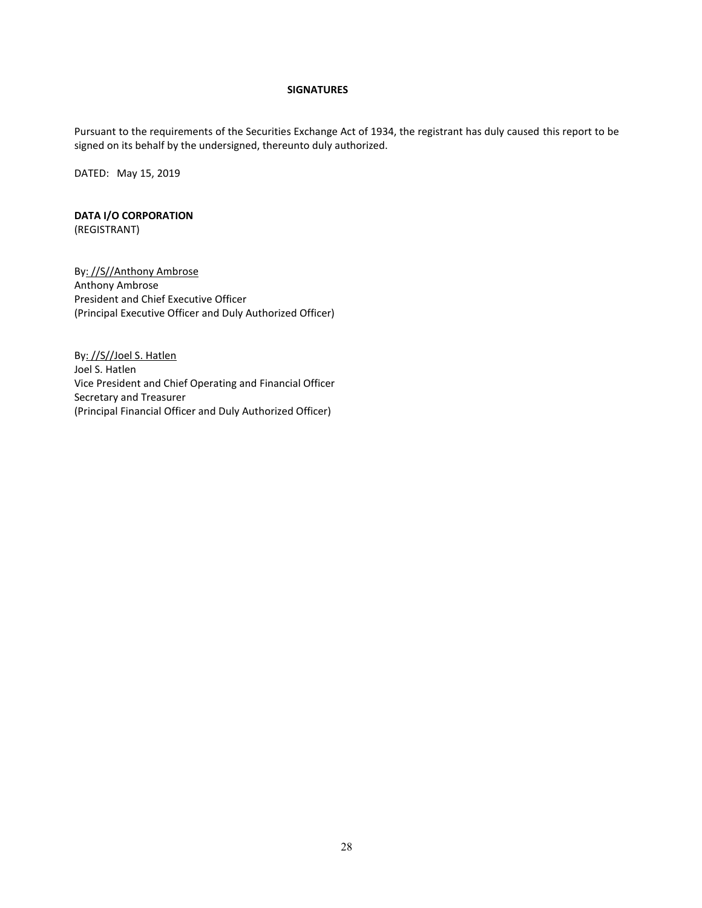# **SIGNATURES**

Pursuant to the requirements of the Securities Exchange Act of 1934, the registrant has duly caused this report to be signed on its behalf by the undersigned, thereunto duly authorized.

DATED: May 15, 2019

# **DATA I/O CORPORATION** (REGISTRANT)

By: //S//Anthony Ambrose Anthony Ambrose President and Chief Executive Officer (Principal Executive Officer and Duly Authorized Officer)

By: //S//Joel S. Hatlen Joel S. Hatlen Vice President and Chief Operating and Financial Officer Secretary and Treasurer (Principal Financial Officer and Duly Authorized Officer)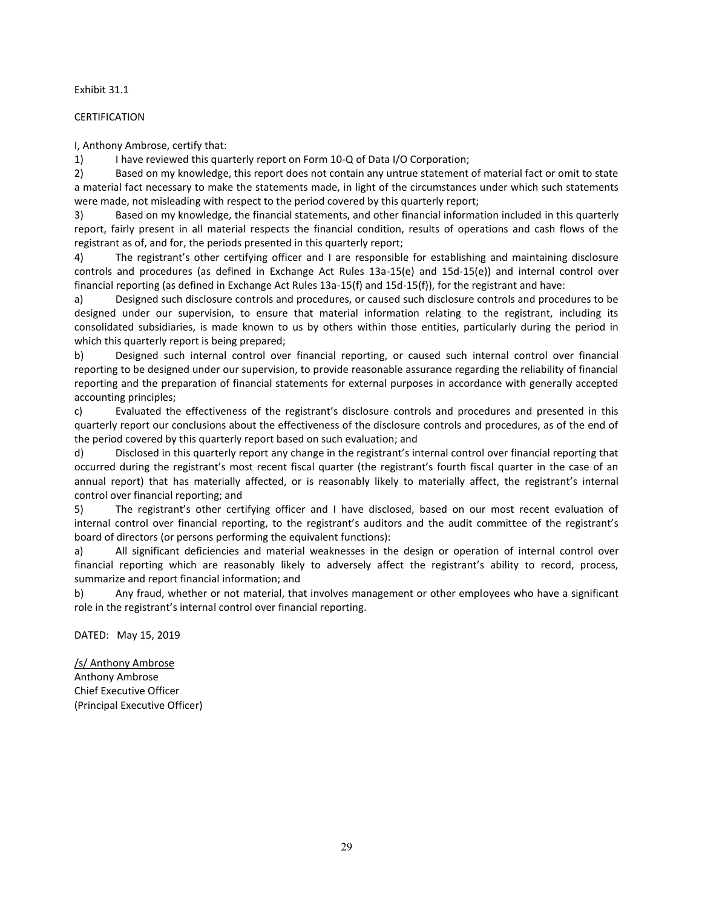### Exhibit 31.1

## CERTIFICATION

I, Anthony Ambrose, certify that:

1) I have reviewed this quarterly report on Form 10-Q of Data I/O Corporation;

2) Based on my knowledge, this report does not contain any untrue statement of material fact or omit to state a material fact necessary to make the statements made, in light of the circumstances under which such statements were made, not misleading with respect to the period covered by this quarterly report;

3) Based on my knowledge, the financial statements, and other financial information included in this quarterly report, fairly present in all material respects the financial condition, results of operations and cash flows of the registrant as of, and for, the periods presented in this quarterly report;

4) The registrant's other certifying officer and I are responsible for establishing and maintaining disclosure controls and procedures (as defined in Exchange Act Rules 13a-15(e) and 15d-15(e)) and internal control over financial reporting (as defined in Exchange Act Rules 13a-15(f) and 15d-15(f)), for the registrant and have:

a) Designed such disclosure controls and procedures, or caused such disclosure controls and procedures to be designed under our supervision, to ensure that material information relating to the registrant, including its consolidated subsidiaries, is made known to us by others within those entities, particularly during the period in which this quarterly report is being prepared;

b) Designed such internal control over financial reporting, or caused such internal control over financial reporting to be designed under our supervision, to provide reasonable assurance regarding the reliability of financial reporting and the preparation of financial statements for external purposes in accordance with generally accepted accounting principles;

c) Evaluated the effectiveness of the registrant's disclosure controls and procedures and presented in this quarterly report our conclusions about the effectiveness of the disclosure controls and procedures, as of the end of the period covered by this quarterly report based on such evaluation; and

d) Disclosed in this quarterly report any change in the registrant's internal control over financial reporting that occurred during the registrant's most recent fiscal quarter (the registrant's fourth fiscal quarter in the case of an annual report) that has materially affected, or is reasonably likely to materially affect, the registrant's internal control over financial reporting; and

5) The registrant's other certifying officer and I have disclosed, based on our most recent evaluation of internal control over financial reporting, to the registrant's auditors and the audit committee of the registrant's board of directors (or persons performing the equivalent functions):

a) All significant deficiencies and material weaknesses in the design or operation of internal control over financial reporting which are reasonably likely to adversely affect the registrant's ability to record, process, summarize and report financial information; and

b) Any fraud, whether or not material, that involves management or other employees who have a significant role in the registrant's internal control over financial reporting.

DATED: May 15, 2019

/s/ Anthony Ambrose Anthony Ambrose Chief Executive Officer (Principal Executive Officer)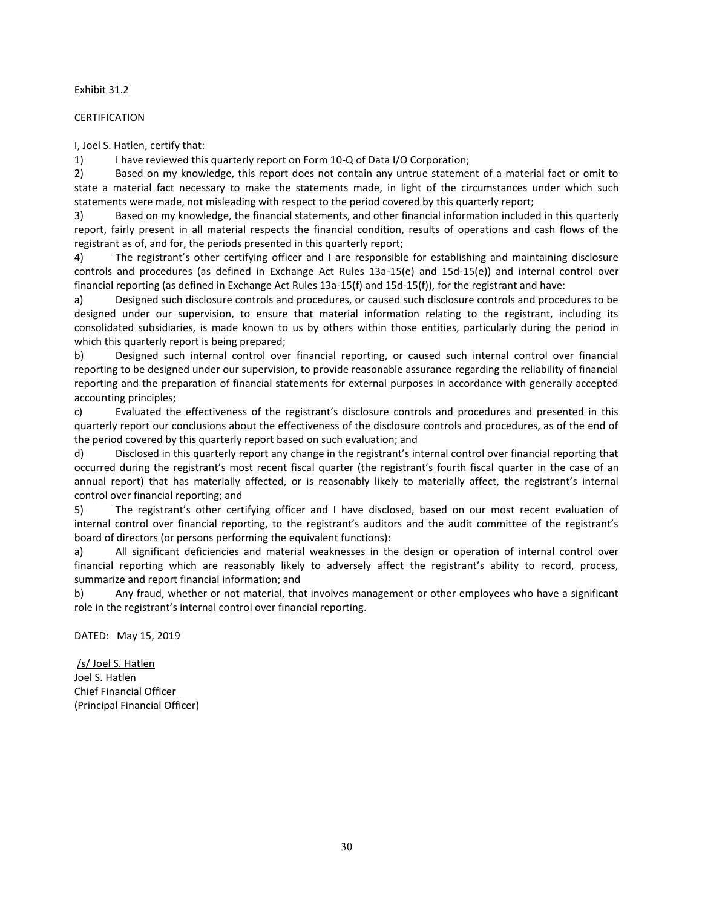### Exhibit 31.2

### CERTIFICATION

I, Joel S. Hatlen, certify that:

1) I have reviewed this quarterly report on Form 10-Q of Data I/O Corporation;

2) Based on my knowledge, this report does not contain any untrue statement of a material fact or omit to state a material fact necessary to make the statements made, in light of the circumstances under which such statements were made, not misleading with respect to the period covered by this quarterly report;

3) Based on my knowledge, the financial statements, and other financial information included in this quarterly report, fairly present in all material respects the financial condition, results of operations and cash flows of the registrant as of, and for, the periods presented in this quarterly report;

4) The registrant's other certifying officer and I are responsible for establishing and maintaining disclosure controls and procedures (as defined in Exchange Act Rules 13a-15(e) and 15d-15(e)) and internal control over financial reporting (as defined in Exchange Act Rules 13a-15(f) and 15d-15(f)), for the registrant and have:

a) Designed such disclosure controls and procedures, or caused such disclosure controls and procedures to be designed under our supervision, to ensure that material information relating to the registrant, including its consolidated subsidiaries, is made known to us by others within those entities, particularly during the period in which this quarterly report is being prepared;

b) Designed such internal control over financial reporting, or caused such internal control over financial reporting to be designed under our supervision, to provide reasonable assurance regarding the reliability of financial reporting and the preparation of financial statements for external purposes in accordance with generally accepted accounting principles;

c) Evaluated the effectiveness of the registrant's disclosure controls and procedures and presented in this quarterly report our conclusions about the effectiveness of the disclosure controls and procedures, as of the end of the period covered by this quarterly report based on such evaluation; and

d) Disclosed in this quarterly report any change in the registrant's internal control over financial reporting that occurred during the registrant's most recent fiscal quarter (the registrant's fourth fiscal quarter in the case of an annual report) that has materially affected, or is reasonably likely to materially affect, the registrant's internal control over financial reporting; and

5) The registrant's other certifying officer and I have disclosed, based on our most recent evaluation of internal control over financial reporting, to the registrant's auditors and the audit committee of the registrant's board of directors (or persons performing the equivalent functions):

a) All significant deficiencies and material weaknesses in the design or operation of internal control over financial reporting which are reasonably likely to adversely affect the registrant's ability to record, process, summarize and report financial information; and

b) Any fraud, whether or not material, that involves management or other employees who have a significant role in the registrant's internal control over financial reporting.

DATED: May 15, 2019

/s/ Joel S. Hatlen Joel S. Hatlen Chief Financial Officer (Principal Financial Officer)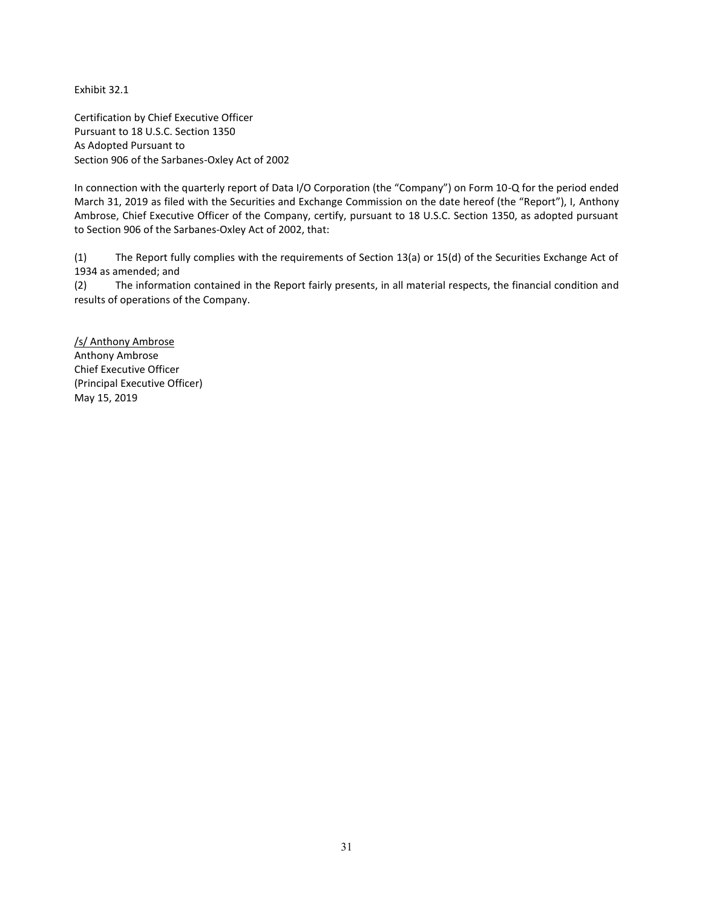Exhibit 32.1

Certification by Chief Executive Officer Pursuant to 18 U.S.C. Section 1350 As Adopted Pursuant to Section 906 of the Sarbanes-Oxley Act of 2002

In connection with the quarterly report of Data I/O Corporation (the "Company") on Form 10-Q for the period ended March 31, 2019 as filed with the Securities and Exchange Commission on the date hereof (the "Report"), I, Anthony Ambrose, Chief Executive Officer of the Company, certify, pursuant to 18 U.S.C. Section 1350, as adopted pursuant to Section 906 of the Sarbanes-Oxley Act of 2002, that:

(1) The Report fully complies with the requirements of Section 13(a) or 15(d) of the Securities Exchange Act of 1934 as amended; and

(2) The information contained in the Report fairly presents, in all material respects, the financial condition and results of operations of the Company.

/s/ Anthony Ambrose Anthony Ambrose Chief Executive Officer (Principal Executive Officer) May 15, 2019